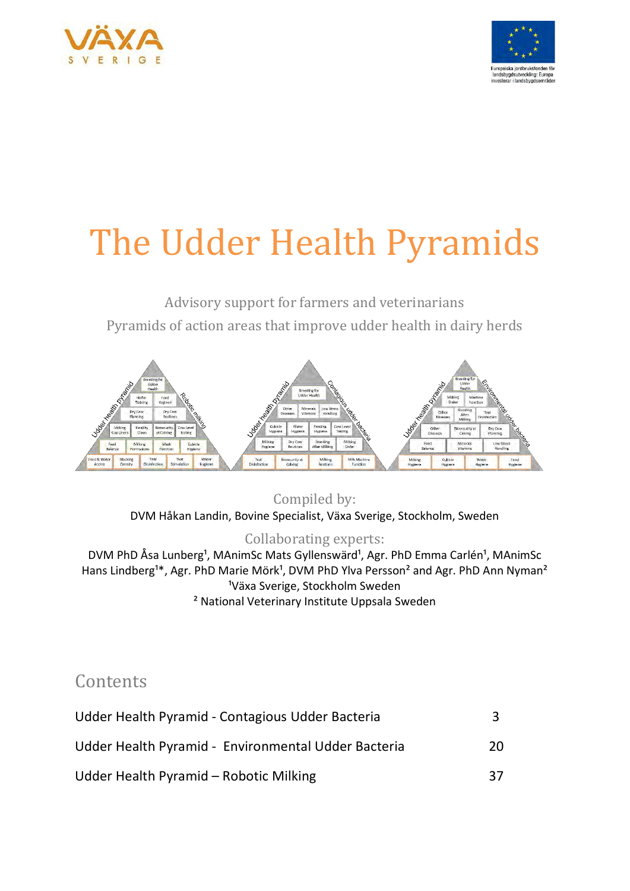



# The Udder Health Pyramids

Advisory support for farmers and veterinarians Pyramids of action areas that improve udder health in dairy herds



Compiled by:

DVM Håkan Landin, Bovine Specialist, Växa Sverige, Stockholm, Sweden

#### Collaborating experts:

DVM PhD Åsa Lunberg<sup>1</sup>, MAnimSc Mats Gyllenswärd<sup>1</sup>, Agr. PhD Emma Carlén<sup>1</sup>, MAnimSc Hans Lindberg<sup>1\*</sup>, Agr. PhD Marie Mörk<sup>1</sup>, DVM PhD Ylva Persson<sup>2</sup> and Agr. PhD Ann Nyman<sup>2</sup> <sup>1</sup>Växa Sverige, Stockholm Sweden ² National Veterinary Institute Uppsala Sweden

# **Contents**

| Udder Health Pyramid - Contagious Udder Bacteria    |    |
|-----------------------------------------------------|----|
| Udder Health Pyramid - Environmental Udder Bacteria | 20 |
| Udder Health Pyramid – Robotic Milking              | 37 |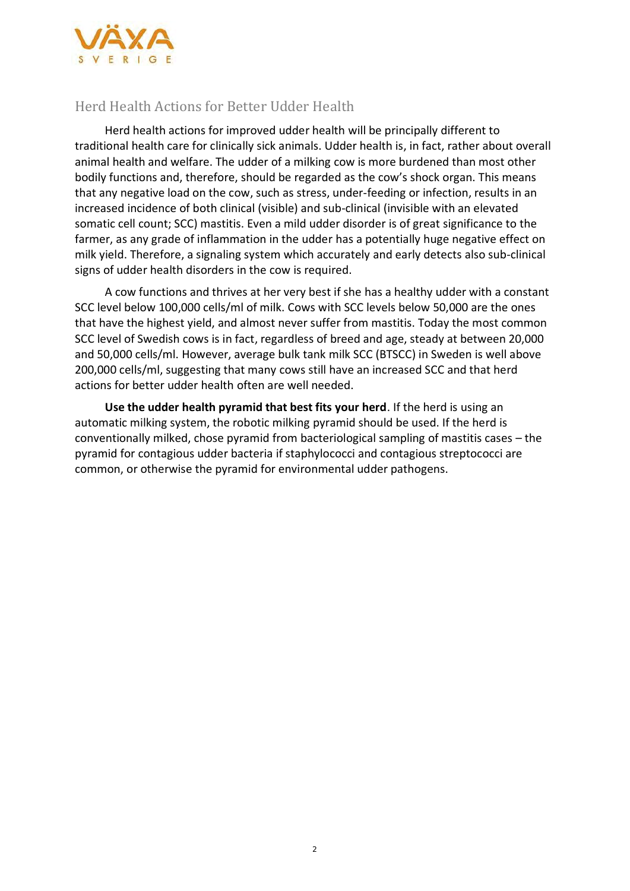

#### Herd Health Actions for Better Udder Health

Herd health actions for improved udder health will be principally different to traditional health care for clinically sick animals. Udder health is, in fact, rather about overall animal health and welfare. The udder of a milking cow is more burdened than most other bodily functions and, therefore, should be regarded as the cow's shock organ. This means that any negative load on the cow, such as stress, under-feeding or infection, results in an increased incidence of both clinical (visible) and sub-clinical (invisible with an elevated somatic cell count; SCC) mastitis. Even a mild udder disorder is of great significance to the farmer, as any grade of inflammation in the udder has a potentially huge negative effect on milk yield. Therefore, a signaling system which accurately and early detects also sub-clinical signs of udder health disorders in the cow is required.

A cow functions and thrives at her very best if she has a healthy udder with a constant SCC level below 100,000 cells/ml of milk. Cows with SCC levels below 50,000 are the ones that have the highest yield, and almost never suffer from mastitis. Today the most common SCC level of Swedish cows is in fact, regardless of breed and age, steady at between 20,000 and 50,000 cells/ml. However, average bulk tank milk SCC (BTSCC) in Sweden is well above 200,000 cells/ml, suggesting that many cows still have an increased SCC and that herd actions for better udder health often are well needed.

**Use the udder health pyramid that best fits your herd**. If the herd is using an automatic milking system, the robotic milking pyramid should be used. If the herd is conventionally milked, chose pyramid from bacteriological sampling of mastitis cases – the pyramid for contagious udder bacteria if staphylococci and contagious streptococci are common, or otherwise the pyramid for environmental udder pathogens.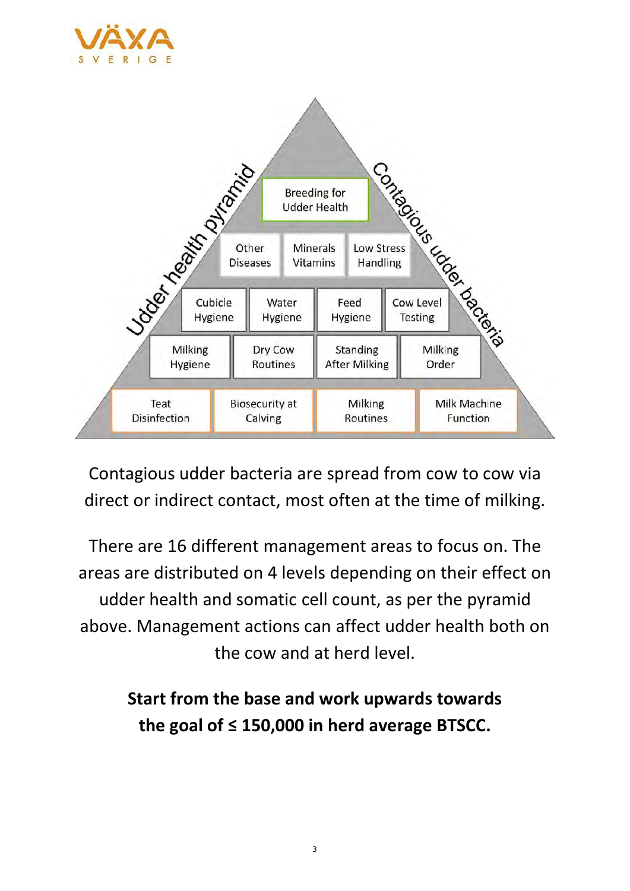



Contagious udder bacteria are spread from cow to cow via direct or indirect contact, most often at the time of milking.

There are 16 different management areas to focus on. The areas are distributed on 4 levels depending on their effect on udder health and somatic cell count, as per the pyramid above. Management actions can affect udder health both on the cow and at herd level.

# **Start from the base and work upwards towards the goal of ≤ 150,000 in herd average BTSCC.**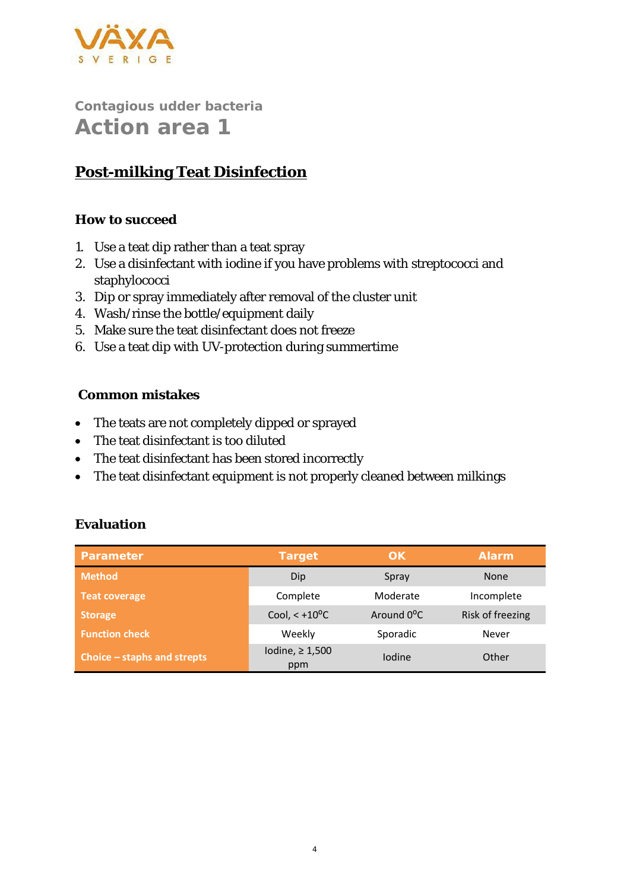

# **Post-milking Teat Disinfection**

#### **How to succeed**

- 1. Use a teat dip rather than a teat spray
- 2. Use a disinfectant with iodine if you have problems with streptococci and staphylococci
- 3. Dip or spray immediately after removal of the cluster unit
- 4. Wash/rinse the bottle/equipment daily
- 5. Make sure the teat disinfectant does not freeze
- 6. Use a teat dip with UV-protection during summertime

#### **Common mistakes**

- The teats are not completely dipped or sprayed
- The teat disinfectant is too diluted
- The teat disinfectant has been stored incorrectly
- The teat disinfectant equipment is not properly cleaned between milkings

| Parameter                   | Target                      | ОK                      | Alarm            |
|-----------------------------|-----------------------------|-------------------------|------------------|
| <b>Method</b>               | Dip                         | Spray                   | <b>None</b>      |
| Teat coverage               | Complete                    | Moderate                | Incomplete       |
| <b>Storage</b>              | Cool, $< +10^{\circ}$ C     | Around 0 <sup>o</sup> C | Risk of freezing |
| <b>Function check</b>       | Weekly                      | Sporadic                | Never            |
| Choice – staphs and strepts | Iodine, $\geq 1,500$<br>ppm | lodine                  | Other            |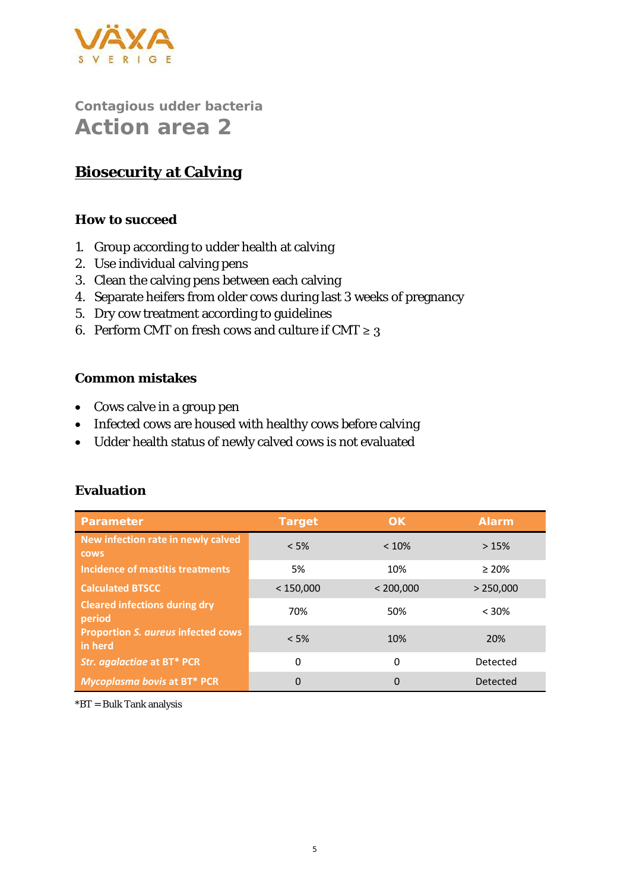

### **Biosecurity at Calving**

#### **How to succeed**

- 1. Group according to udder health at calving
- 2. Use individual calving pens
- 3. Clean the calving pens between each calving
- 4. Separate heifers from older cows during last 3 weeks of pregnancy
- 5. Dry cow treatment according to guidelines
- 6. Perform CMT on fresh cows and culture if CMT  $\geq 3$

#### **Common mistakes**

- Cows calve in a group pen
- Infected cows are housed with healthy cows before calving
- Udder health status of newly calved cows is not evaluated

| Parameter                                            | Target    | OK        | Alarm       |
|------------------------------------------------------|-----------|-----------|-------------|
| New infection rate in newly calved<br><b>COWS</b>    | < 5%      | < 10%     | >15%        |
| Incidence of mastitis treatments                     | 5%        | 10%       | $\geq 20\%$ |
| <b>Calculated BTSCC</b>                              | < 150,000 | < 200,000 | > 250,000   |
| <b>Cleared infections during dry</b><br>period       | 70%       | 50%       | < 30%       |
| <b>Proportion S. aureus infected cows</b><br>in herd | < 5%      | 10%       | 20%         |
| Str. agalactiae at BT* PCR                           | 0         | 0         | Detected    |
| Mycoplasma bovis at BT* PCR                          | 0         | $\Omega$  | Detected    |

#### **Evaluation**

\*BT = Bulk Tank analysis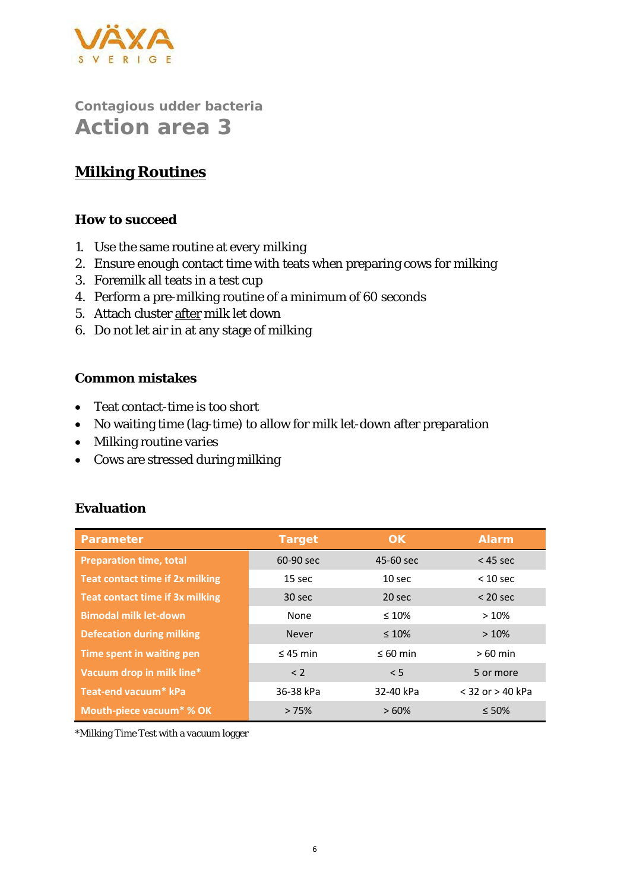

## **Milking Routines**

#### **How to succeed**

- 1. Use the same routine at every milking
- 2. Ensure enough contact time with teats when preparing cows for milking
- 3. Foremilk all teats in a test cup
- 4. Perform a pre-milking routine of a minimum of 60 seconds
- 5. Attach cluster after milk let down
- 6. Do not let air in at any stage of milking

#### **Common mistakes**

- Teat contact-time is too short
- No waiting time (lag-time) to allow for milk let-down after preparation
- Milking routine varies
- Cows are stressed during milking

#### **Evaluation**

| Parameter                              | Target        | OK.               | Alarm                |
|----------------------------------------|---------------|-------------------|----------------------|
| <b>Preparation time, total</b>         | 60-90 sec     | 45-60 sec         | $<$ 45 sec           |
| <b>Teat contact time if 2x milking</b> | 15 sec        | 10 <sub>sec</sub> | $< 10$ sec           |
| Teat contact time if 3x milking        | 30 sec        | 20 sec            | $<$ 20 sec           |
| <b>Bimodal milk let-down</b>           | None          | $\leq 10\%$       | >10%                 |
| <b>Defecation during milking</b>       | <b>Never</b>  | $\leq 10\%$       | >10%                 |
| Time spent in waiting pen              | $\leq$ 45 min | $\leq 60$ min     | $>60$ min            |
| Vacuum drop in milk line*              | < 2           | < 5               | 5 or more            |
| Teat-end vacuum* kPa                   | 36-38 kPa     | 32-40 kPa         | $<$ 32 or $>$ 40 kPa |
| Mouth-piece vacuum <sup>*</sup> % OK   | >75%          | >60%              | $\leq 50\%$          |

\*Milking Time Test with a vacuum logger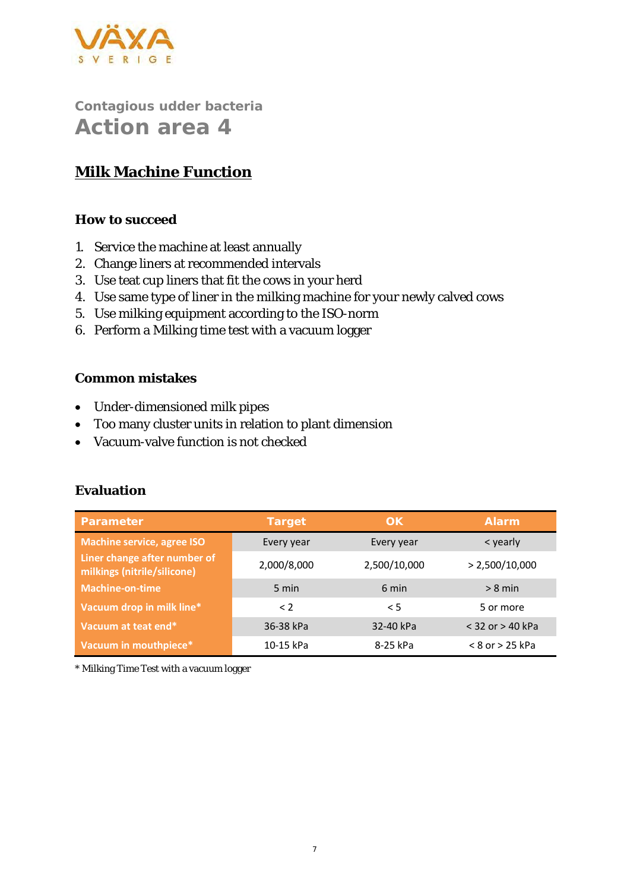

## **Milk Machine Function**

#### **How to succeed**

- 1. Service the machine at least annually
- 2. Change liners at recommended intervals
- 3. Use teat cup liners that fit the cows in your herd
- 4. Use same type of liner in the milking machine for your newly calved cows
- 5. Use milking equipment according to the ISO-norm
- 6. Perform a Milking time test with a vacuum logger

#### **Common mistakes**

- Under-dimensioned milk pipes
- Too many cluster units in relation to plant dimension
- Vacuum-valve function is not checked

#### **Evaluation**

| Parameter                                                   | Target      | OK.          | <b>Alarm</b>         |
|-------------------------------------------------------------|-------------|--------------|----------------------|
| <b>Machine service, agree ISO</b>                           | Every year  | Every year   | < yearly             |
| Liner change after number of<br>milkings (nitrile/silicone) | 2,000/8,000 | 2,500/10,000 | > 2,500/10,000       |
| <b>Machine-on-time</b>                                      | 5 min       | 6 min        | $> 8$ min            |
| Vacuum drop in milk line*                                   | $\leq$ 2    | $\leq$ 5     | 5 or more            |
| Vacuum at teat end*                                         | 36-38 kPa   | 32-40 kPa    | $<$ 32 or $>$ 40 kPa |
| Vacuum in mouthpiece*                                       | 10-15 kPa   | 8-25 kPa     | $< 8$ or $> 25$ kPa  |

\* Milking Time Test with a vacuum logger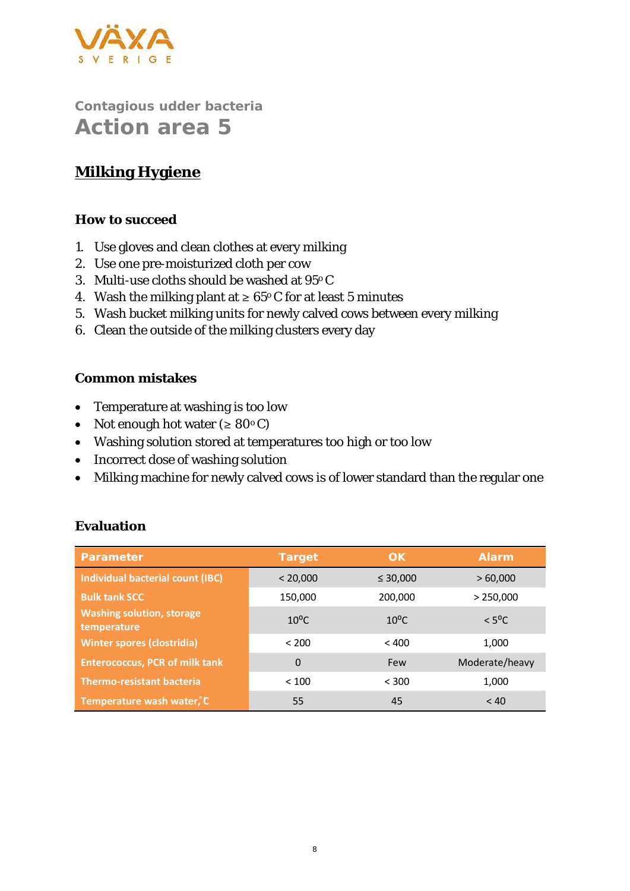

# **Milking Hygiene**

#### **How to succeed**

- 1. Use gloves and clean clothes at every milking
- 2. Use one pre-moisturized cloth per cow
- 3. Multi-use cloths should be washed at 95o C
- 4. Wash the milking plant at  $\geq 65^{\circ}$  C for at least 5 minutes
- 5. Wash bucket milking units for newly calved cows between every milking
- 6. Clean the outside of the milking clusters every day

#### **Common mistakes**

- Temperature at washing is too low
- Not enough hot water  $( \geq 80^{\circ} \text{C} )$
- Washing solution stored at temperatures too high or too low
- Incorrect dose of washing solution
- Milking machine for newly calved cows is of lower standard than the regular one

| Parameter                                       | Target         | OK.            | Alarm           |
|-------------------------------------------------|----------------|----------------|-----------------|
| Individual bacterial count (IBC)                | < 20,000       | $\leq 30,000$  | >60,000         |
| <b>Bulk tank SCC</b>                            | 150,000        | 200,000        | > 250,000       |
| <b>Washing solution, storage</b><br>temperature | $10^{\circ}$ C | $10^{\circ}$ C | $< 5^{\circ}$ C |
| <b>Winter spores (clostridia)</b>               | < 200          | < 400          | 1,000           |
| <b>Enterococcus, PCR of milk tank</b>           | 0              | Few            | Moderate/heavy  |
| <b>Thermo-resistant bacteria</b>                | < 100          | < 300          | 1,000           |
| Temperature wash water, C                       | 55             | 45             | < 40            |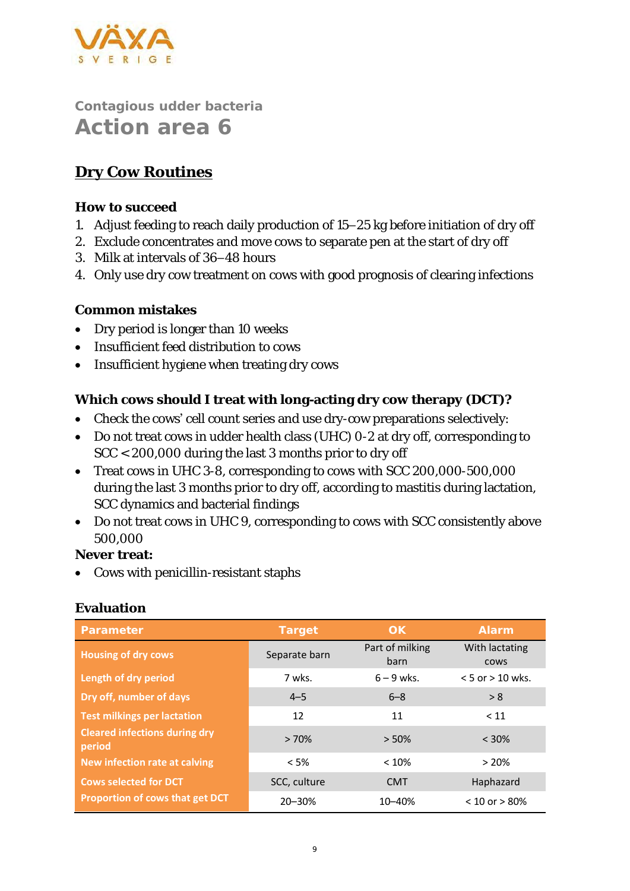

### **Dry Cow Routines**

**How to succeed**

- 1. Adjust feeding to reach daily production of 15–25 kg before initiation of dry off
- 2. Exclude concentrates and move cows to separate pen at the start of dry off
- 3. Milk at intervals of 36–48 hours
- 4. Only use dry cow treatment on cows with good prognosis of clearing infections

#### **Common mistakes**

- Dry period is longer than 10 weeks
- Insufficient feed distribution to cows
- Insufficient hygiene when treating dry cows

**Which cows should I treat with long-acting dry cow therapy (DCT)?**

- Check the cows' cell count series and use dry-cow preparations selectively:
- Do not treat cows in udder health class (UHC) 0-2 at dry off, corresponding to SCC < 200,000 during the last 3 months prior to dry off
- Treat cows in UHC 3-8, corresponding to cows with SCC 200,000-500,000 during the last 3 months prior to dry off, according to mastitis during lactation, SCC dynamics and bacterial findings
- Do not treat cows in UHC 9, corresponding to cows with SCC consistently above 500,000

**Never treat:** 

• Cows with penicillin-resistant staphs

| Parameter                                      | Target        | OK                      | Alarm                         |
|------------------------------------------------|---------------|-------------------------|-------------------------------|
| <b>Housing of dry cows</b>                     | Separate barn | Part of milking<br>barn | With lactating<br><b>COWS</b> |
| Length of dry period                           | 7 wks.        | $6 - 9$ wks.            | $< 5$ or $> 10$ wks.          |
| Dry off, number of days                        | $4 - 5$       | $6 - 8$                 | > 8                           |
| <b>Test milkings per lactation</b>             | 12            | 11                      | < 11                          |
| <b>Cleared infections during dry</b><br>period | >70%          | $> 50\%$                | $< 30\%$                      |
| New infection rate at calving                  | < 5%          | $< 10\%$                | >20%                          |
| <b>Cows selected for DCT</b>                   | SCC, culture  | <b>CMT</b>              | Haphazard                     |
| Proportion of cows that get DCT                | 20-30%        | 10-40%                  | $< 10$ or $> 80\%$            |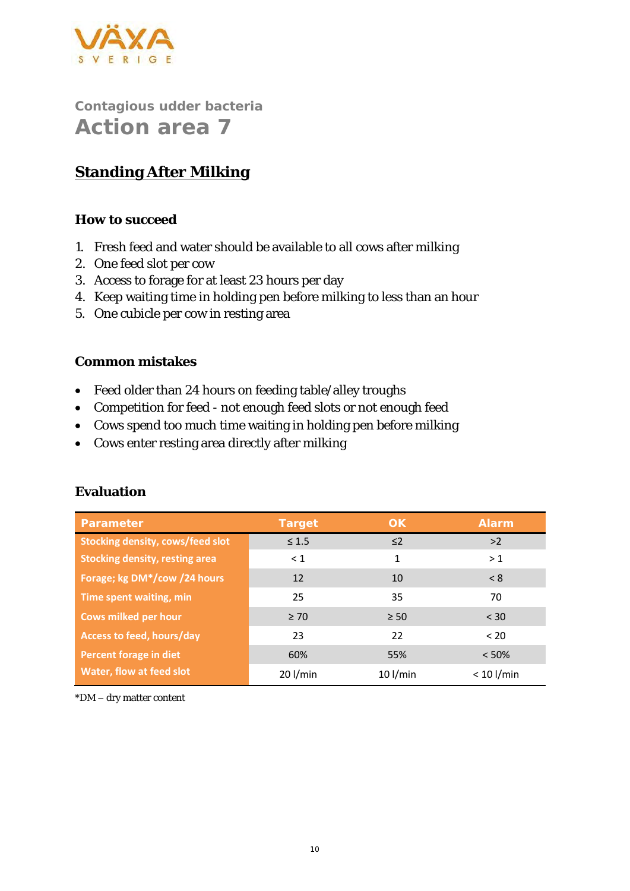

## **Standing After Milking**

#### **How to succeed**

- 1. Fresh feed and water should be available to all cows after milking
- 2. One feed slot per cow
- 3. Access to forage for at least 23 hours per day
- 4. Keep waiting time in holding pen before milking to less than an hour
- 5. One cubicle per cow in resting area

#### **Common mistakes**

- Feed older than 24 hours on feeding table/alley troughs
- Competition for feed not enough feed slots or not enough feed
- Cows spend too much time waiting in holding pen before milking
- Cows enter resting area directly after milking

| Parameter                               | Target     | OK.        | Alarm        |
|-----------------------------------------|------------|------------|--------------|
| <b>Stocking density, cows/feed slot</b> | $\leq 1.5$ | $\leq$ 2   | >2           |
| <b>Stocking density, resting area</b>   | $\leq 1$   | 1          | >1           |
| Forage; kg DM*/cow /24 hours            | 12         | 10         | < 8          |
| Time spent waiting, min                 | 25         | 35         | 70           |
| Cows milked per hour                    | $\geq 70$  | $\geq 50$  | $<$ 30       |
| Access to feed, hours/day               | 23         | 22         | $<$ 20       |
| Percent forage in diet                  | 60%        | 55%        | < 50%        |
| Water, flow at feed slot                | $20$ l/min | $10$ l/min | $< 10$ l/min |

#### **Evaluation**

\*DM – dry matter content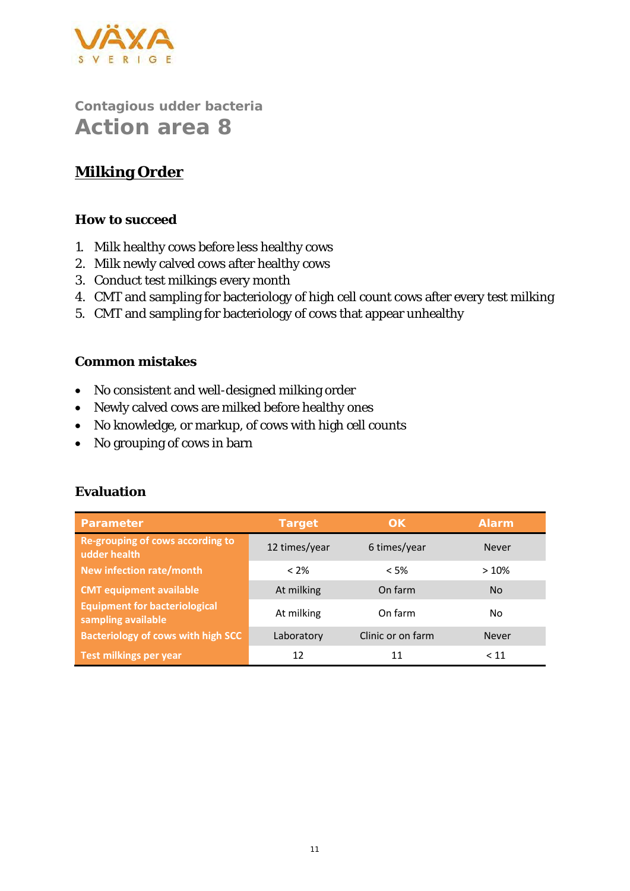

### **Milking Order**

#### **How to succeed**

- 1. Milk healthy cows before less healthy cows
- 2. Milk newly calved cows after healthy cows
- 3. Conduct test milkings every month
- 4. CMT and sampling for bacteriology of high cell count cows after every test milking
- 5. CMT and sampling for bacteriology of cows that appear unhealthy

#### **Common mistakes**

- No consistent and well-designed milking order
- Newly calved cows are milked before healthy ones
- No knowledge, or markup, of cows with high cell counts
- No grouping of cows in barn

| Parameter                                                  | Target        | OK.               | Alarm        |
|------------------------------------------------------------|---------------|-------------------|--------------|
| Re-grouping of cows according to<br>udder health           | 12 times/year | 6 times/year      | <b>Never</b> |
| New infection rate/month                                   | $< 2\%$       | $<$ 5%            | >10%         |
| <b>CMT equipment available</b>                             | At milking    | On farm           | <b>No</b>    |
| <b>Equipment for bacteriological</b><br>sampling available | At milking    | On farm           | No.          |
| <b>Bacteriology of cows with high SCC</b>                  | Laboratory    | Clinic or on farm | <b>Never</b> |
| Test milkings per year                                     | 12            | 11                | < 11         |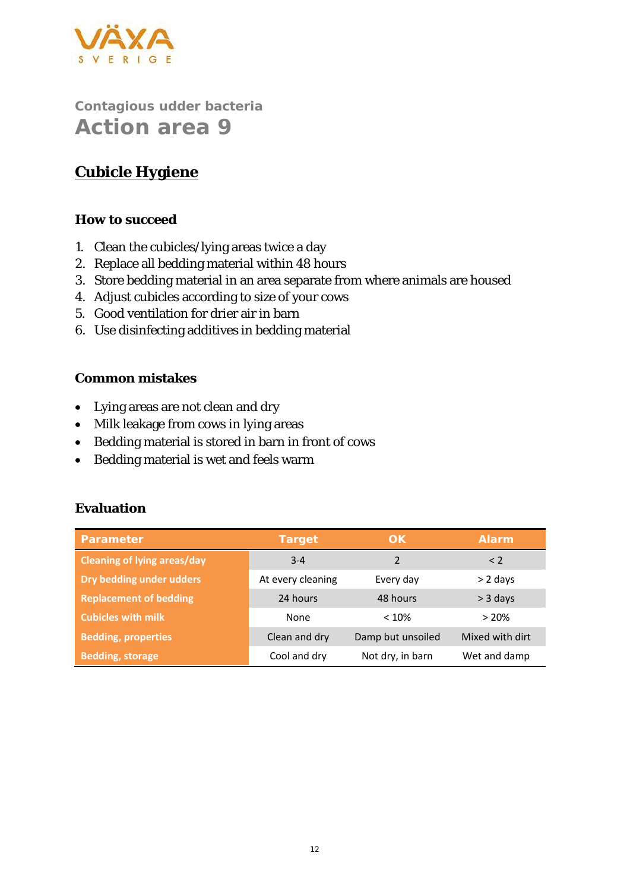

# **Cubicle Hygiene**

#### **How to succeed**

- 1. Clean the cubicles/lying areas twice a day
- 2. Replace all bedding material within 48 hours
- 3. Store bedding material in an area separate from where animals are housed
- 4. Adjust cubicles according to size of your cows
- 5. Good ventilation for drier air in barn
- 6. Use disinfecting additives in bedding material

#### **Common mistakes**

- Lying areas are not clean and dry
- Milk leakage from cows in lying areas
- Bedding material is stored in barn in front of cows
- Bedding material is wet and feels warm

| Parameter                          | Target            | OK                | <b>Alarm</b>    |
|------------------------------------|-------------------|-------------------|-----------------|
| <b>Cleaning of lying areas/day</b> | $3 - 4$           | $\mathcal{P}$     | $\leq$ 2        |
| Dry bedding under udders           | At every cleaning | Every day         | $> 2$ days      |
| <b>Replacement of bedding</b>      | 24 hours          | 48 hours          | $>$ 3 days      |
| <b>Cubicles with milk</b>          | None              | < 10%             | >20%            |
| <b>Bedding, properties</b>         | Clean and dry     | Damp but unsoiled | Mixed with dirt |
| <b>Bedding, storage</b>            | Cool and dry      | Not dry, in barn  | Wet and damp    |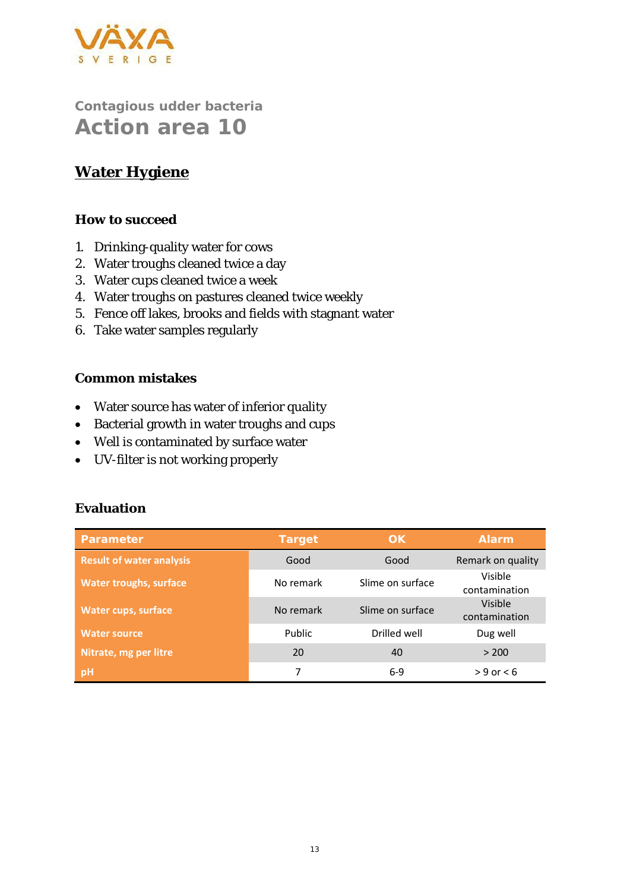

### **Water Hygiene**

#### **How to succeed**

- 1. Drinking-quality water for cows
- 2. Water troughs cleaned twice a day
- 3. Water cups cleaned twice a week
- 4. Water troughs on pastures cleaned twice weekly
- 5. Fence off lakes, brooks and fields with stagnant water
- 6. Take water samples regularly

#### **Common mistakes**

- Water source has water of inferior quality
- Bacterial growth in water troughs and cups
- Well is contaminated by surface water
- UV-filter is not working properly

| Parameter                       | Target    | OK.              | Alarm                    |
|---------------------------------|-----------|------------------|--------------------------|
| <b>Result of water analysis</b> | Good      | Good             | Remark on quality        |
| <b>Water troughs, surface</b>   | No remark | Slime on surface | Visible<br>contamination |
| Water cups, surface             | No remark | Slime on surface | Visible<br>contamination |
| <b>Water source</b>             | Public    | Drilled well     | Dug well                 |
| Nitrate, mg per litre           | 20        | 40               | > 200                    |
| pH                              |           | $6-9$            | $> 9$ or $< 6$           |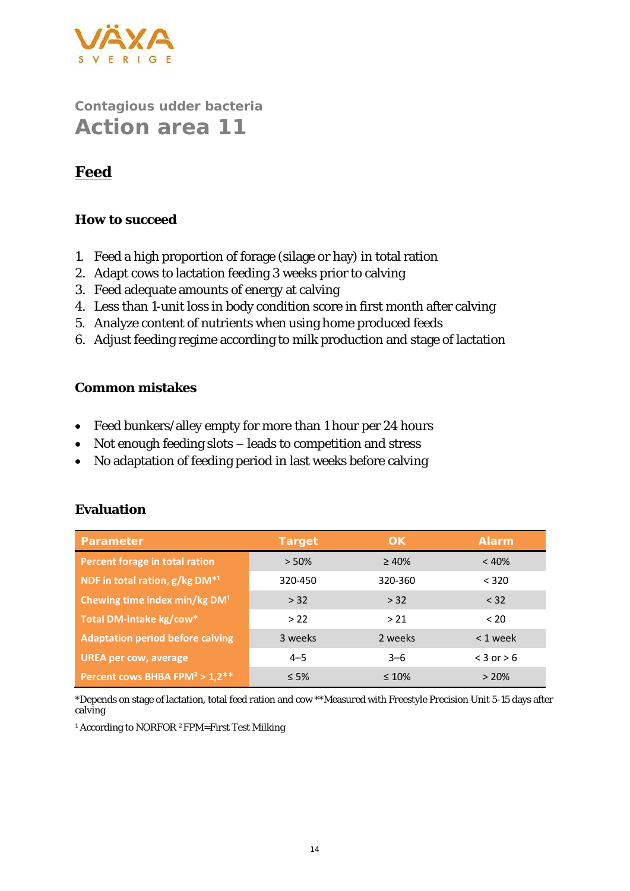

### **Feed**

#### **How to succeed**

- 1. Feed a high proportion of forage (silage or hay) in total ration
- 2. Adapt cows to lactation feeding 3 weeks prior to calving
- 3. Feed adequate amounts of energy at calving
- 4. Less than 1-unit loss in body condition score in first month after calving
- 5. Analyze content of nutrients when using home produced feeds
- 6. Adjust feeding regime according to milk production and stage of lactation

#### **Common mistakes**

- Feed bunkers/alley empty for more than 1 hour per 24 hours
- Not enough feeding slots leads to competition and stress
- No adaptation of feeding period in last weeks before calving

#### **Evaluation**

| Parameter                                              | Target     | OK          | <b>Alarm</b>   |
|--------------------------------------------------------|------------|-------------|----------------|
| Percent forage in total ration                         | > 50%      | $\geq 40\%$ | < 40%          |
| NDF in total ration, g/kg DM <sup>*1</sup>             | 320-450    | 320-360     | < 320          |
| Chewing time index min/kg DM <sup>1</sup>              | > 32       | > 32        | < 32           |
| Total DM-intake kg/cow*                                | >22        | > 21        | < 20           |
| <b>Adaptation period before calving</b>                | 3 weeks    | 2 weeks     | $< 1$ week     |
| <b>UREA per cow, average</b>                           | $4 - 5$    | $3 - 6$     | $<$ 3 or $>$ 6 |
| Percent cows BHBA FPM <sup>2</sup> > 1,2 <sup>**</sup> | $\leq 5\%$ | $\leq 10\%$ | >20%           |

\*Depends on stage of lactation, total feed ration and cow \*\*Measured with Freestyle Precision Unit 5-15 days after calving

<sup>1</sup> According to NORFOR <sup>2</sup>FPM=First Test Milking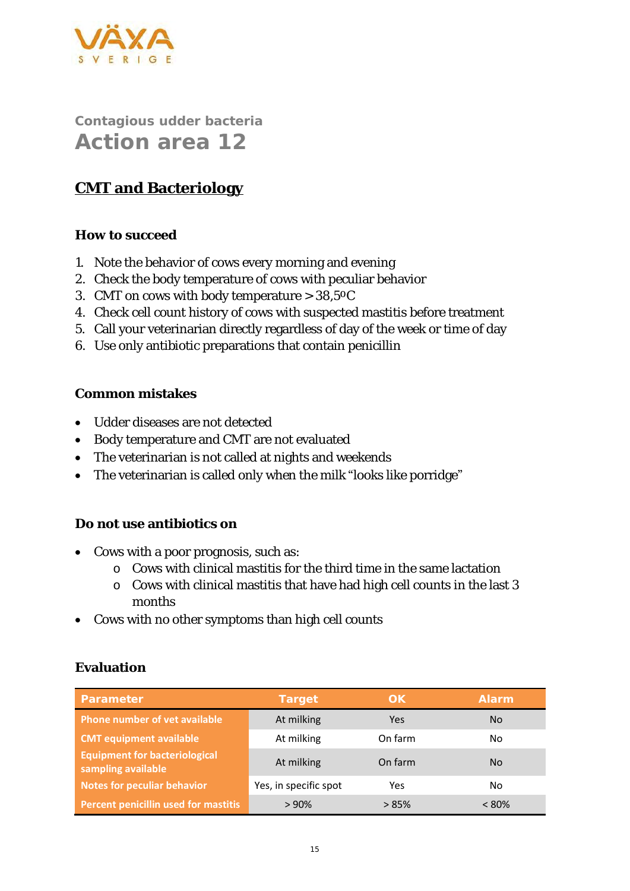

### **CMT and Bacteriology**

#### **How to succeed**

- 1. Note the behavior of cows every morning and evening
- 2. Check the body temperature of cows with peculiar behavior
- 3. CMT on cows with body temperature  $> 38,50C$
- 4. Check cell count history of cows with suspected mastitis before treatment
- 5. Call your veterinarian directly regardless of day of the week or time of day
- 6. Use only antibiotic preparations that contain penicillin

#### **Common mistakes**

- Udder diseases are not detected
- Body temperature and CMT are not evaluated
- The veterinarian is not called at nights and weekends
- The veterinarian is called only when the milk "looks like porridge"

#### **Do not use antibiotics on**

- Cows with a poor prognosis, such as:
	- o Cows with clinical mastitis for the third time in the same lactation
	- o Cows with clinical mastitis that have had high cell counts in the last 3 months
- Cows with no other symptoms than high cell counts

| Parameter                                                  | Target                | OK.     | Alarm    |
|------------------------------------------------------------|-----------------------|---------|----------|
| <b>Phone number of vet available</b>                       | At milking            | Yes     | No.      |
| <b>CMT equipment available</b>                             | At milking            | On farm | No       |
| <b>Equipment for bacteriological</b><br>sampling available | At milking            | On farm | No.      |
| <b>Notes for peculiar behavior</b>                         | Yes, in specific spot | Yes     | No       |
| Percent penicillin used for mastitis                       | >90%                  | >85%    | $< 80\%$ |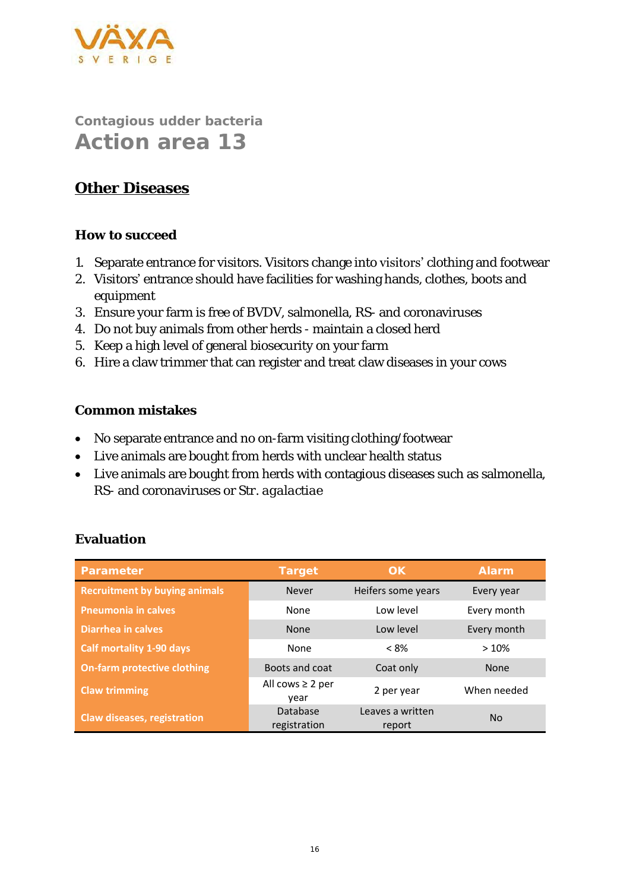

### **Other Diseases**

#### **How to succeed**

- 1. Separate entrance for visitors. Visitors change into visitors' clothing and footwear
- 2. Visitors' entrance should have facilities for washing hands, clothes, boots and equipment
- 3. Ensure your farm is free of BVDV, salmonella, RS- and coronaviruses
- 4. Do not buy animals from other herds maintain a closed herd
- 5. Keep a high level of general biosecurity on your farm
- 6. Hire a claw trimmer that can register and treat claw diseases in your cows

#### **Common mistakes**

- No separate entrance and no on-farm visiting clothing/footwear
- Live animals are bought from herds with unclear health status
- Live animals are bought from herds with contagious diseases such as salmonella, RS- and coronaviruses or *Str. agalactiae*

| Parameter                            | Target                        | OK.                        | Alarm       |
|--------------------------------------|-------------------------------|----------------------------|-------------|
| <b>Recruitment by buying animals</b> | <b>Never</b>                  | Heifers some years         | Every year  |
| <b>Pneumonia in calves</b>           | None                          | Low level                  | Every month |
| Diarrhea in calves                   | <b>None</b>                   | Low level                  | Every month |
| <b>Calf mortality 1-90 days</b>      | None                          | $< 8\%$                    | >10%        |
| <b>On-farm protective clothing</b>   | Boots and coat                | Coat only                  | <b>None</b> |
| <b>Claw trimming</b>                 | All cows $\geq 2$ per<br>year | 2 per year                 | When needed |
| Claw diseases, registration          | Database<br>registration      | Leaves a written<br>report | <b>No</b>   |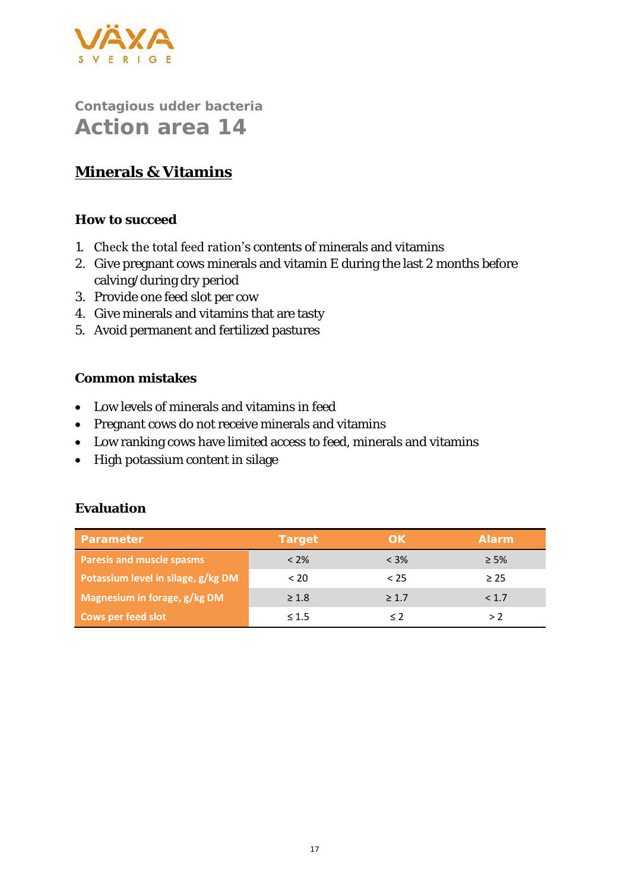

## **Minerals & Vitamins**

**How to succeed**

- 1. Check the total feed ration's contents of minerals and vitamins
- 2. Give pregnant cows minerals and vitamin E during the last 2 months before calving/during dry period
- 3. Provide one feed slot per cow
- 4. Give minerals and vitamins that are tasty
- 5. Avoid permanent and fertilized pastures

#### **Common mistakes**

- Low levels of minerals and vitamins in feed
- Pregnant cows do not receive minerals and vitamins
- Low ranking cows have limited access to feed, minerals and vitamins
- High potassium content in silage

| Parameter                          | Target     | OK.        | Alarm     |
|------------------------------------|------------|------------|-----------|
| Paresis and muscle spasms          | $< 2\%$    | $< 3\%$    | $\geq$ 5% |
| Potassium level in silage, g/kg DM | < 20       | < 25       | $\geq$ 25 |
| Magnesium in forage, g/kg DM       | $\geq 1.8$ | $\geq 1.7$ | < 1.7     |
| <b>Cows per feed slot</b>          | $\leq 1.5$ |            | > 2       |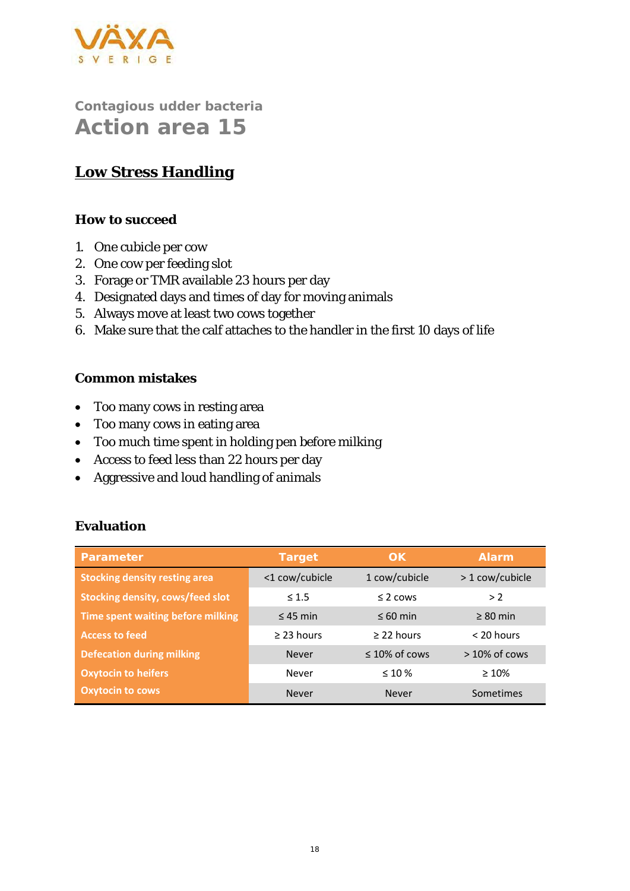

### **Low Stress Handling**

#### **How to succeed**

- 1. One cubicle per cow
- 2. One cow per feeding slot
- 3. Forage or TMR available 23 hours per day
- 4. Designated days and times of day for moving animals
- 5. Always move at least two cows together
- 6. Make sure that the calf attaches to the handler in the first 10 days of life

#### **Common mistakes**

- Too many cows in resting area
- Too many cows in eating area
- Too much time spent in holding pen before milking
- Access to feed less than 22 hours per day
- Aggressive and loud handling of animals

| Parameter                               | Target          | OK                  | Alarm           |
|-----------------------------------------|-----------------|---------------------|-----------------|
| <b>Stocking density resting area</b>    | <1 cow/cubicle  | 1 cow/cubicle       | > 1 cow/cubicle |
| <b>Stocking density, cows/feed slot</b> | $\leq 1.5$      | $\leq$ 2 cows       | > 2             |
| Time spent waiting before milking       | $\leq$ 45 min   | $\leq 60$ min       | $\geq 80$ min   |
| <b>Access to feed</b>                   | $\geq$ 23 hours | $>$ 22 hours        | $<$ 20 hours    |
| <b>Defecation during milking</b>        | <b>Never</b>    | $\leq 10\%$ of cows | $>10\%$ of cows |
| <b>Oxytocin to heifers</b>              | Never           | $\leq 10\%$         | $\geq 10\%$     |
| <b>Oxytocin to cows</b>                 | Never           | Never               | Sometimes       |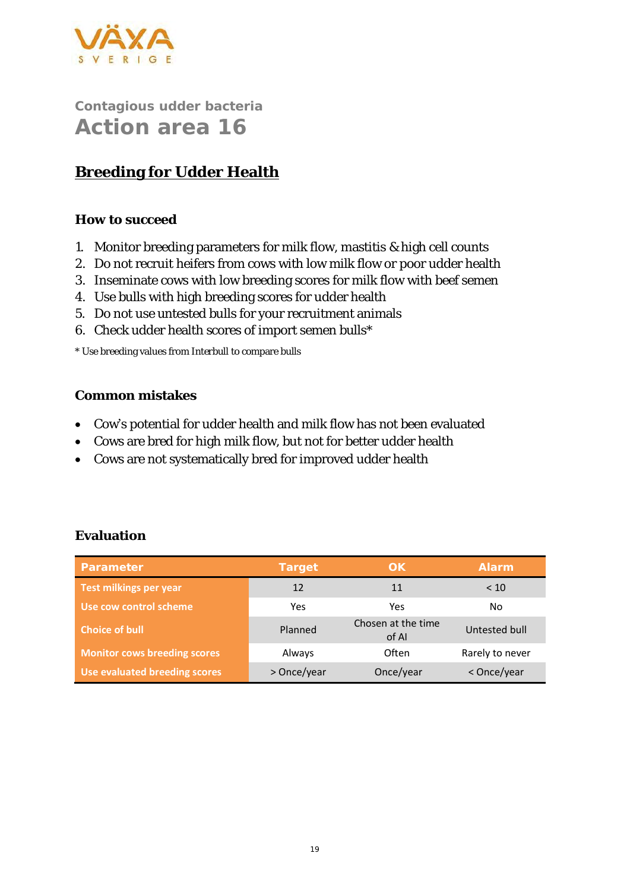

## **Breeding for Udder Health**

#### **How to succeed**

- 1. Monitor breeding parameters for milk flow, mastitis & high cell counts
- 2. Do not recruit heifers from cows with low milk flow or poor udder health
- 3. Inseminate cows with low breeding scores for milk flow with beef semen
- 4. Use bulls with high breeding scores for udder health
- 5. Do not use untested bulls for your recruitment animals
- 6. Check udder health scores of import semen bulls\*

\* Use breeding values from Interbull to compare bulls

#### **Common mistakes**

- Cow's potential for udder health and milk flow has not been evaluated
- Cows are bred for high milk flow, but not for better udder health
- Cows are not systematically bred for improved udder health

| Evaluation |
|------------|
|            |

| Parameter                           | Target      | OK                          | <b>Alarm</b>    |
|-------------------------------------|-------------|-----------------------------|-----------------|
| Test milkings per year              | 12          | 11                          | < 10            |
| Use cow control scheme              | Yes         | Yes                         | No              |
| <b>Choice of bull</b>               | Planned     | Chosen at the time<br>of Al | Untested bull   |
| <b>Monitor cows breeding scores</b> | Always      | Often                       | Rarely to never |
| Use evaluated breeding scores       | > Once/year | Once/year                   | < Once/year     |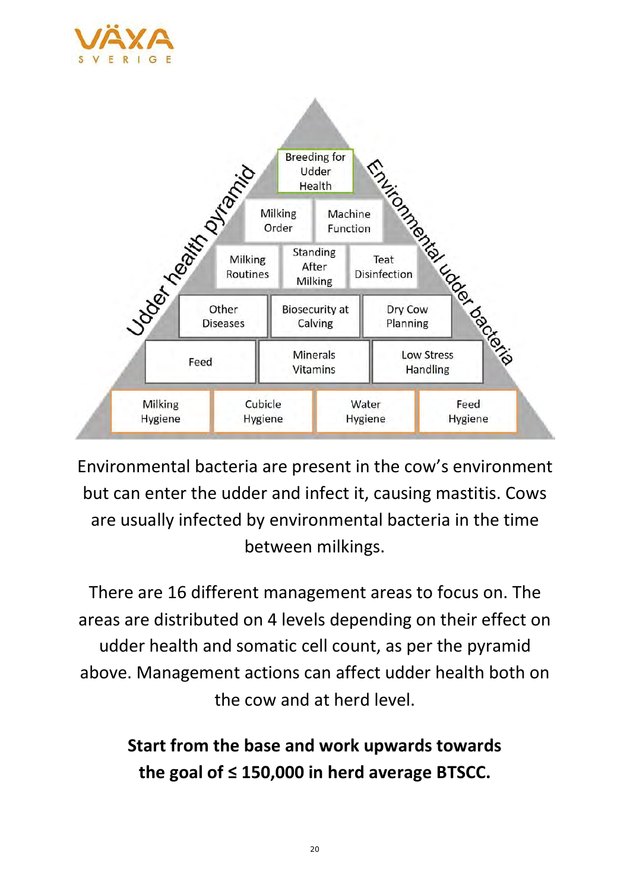



Environmental bacteria are present in the cow's environment but can enter the udder and infect it, causing mastitis. Cows are usually infected by environmental bacteria in the time between milkings.

There are 16 different management areas to focus on. The areas are distributed on 4 levels depending on their effect on udder health and somatic cell count, as per the pyramid above. Management actions can affect udder health both on the cow and at herd level.

> **Start from the base and work upwards towards the goal of ≤ 150,000 in herd average BTSCC.**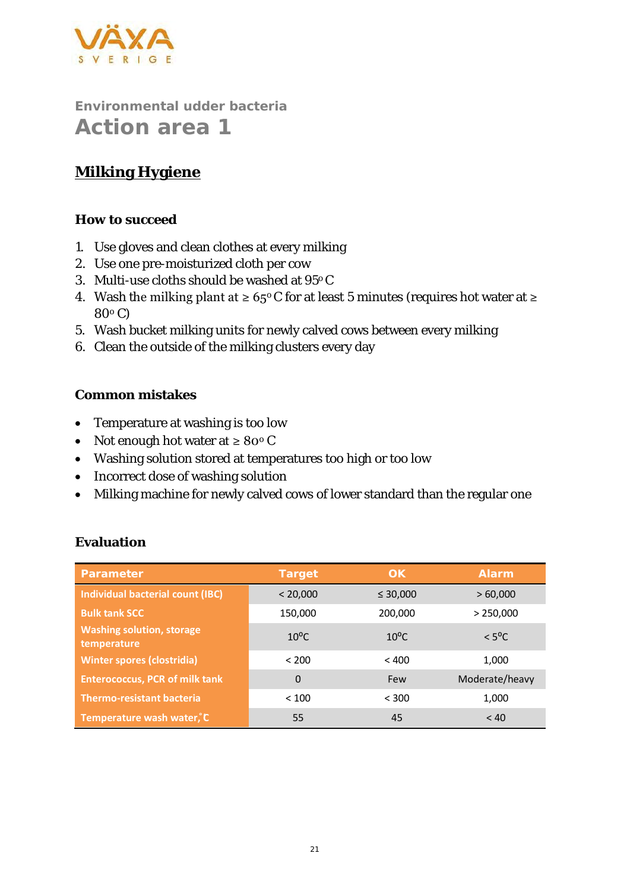

# **Milking Hygiene**

#### **How to succeed**

- 1. Use gloves and clean clothes at every milking
- 2. Use one pre-moisturized cloth per cow
- 3. Multi-use cloths should be washed at 95o C
- 4. Wash the milking plant at  $\geq 65^{\circ}$  C for at least 5 minutes (requires hot water at  $\geq$ 80<sup>o</sup> C)
- 5. Wash bucket milking units for newly calved cows between every milking
- 6. Clean the outside of the milking clusters every day

#### **Common mistakes**

- Temperature at washing is too low
- Not enough hot water at ≥ 80° C
- Washing solution stored at temperatures too high or too low
- Incorrect dose of washing solution
- Milking machine for newly calved cows of lower standard than the regular one

| Parameter                                       | Target         | OK.            | <b>Alarm</b>    |
|-------------------------------------------------|----------------|----------------|-----------------|
| Individual bacterial count (IBC)                | < 20,000       | $\leq 30,000$  | >60,000         |
| <b>Bulk tank SCC</b>                            | 150,000        | 200,000        | > 250,000       |
| <b>Washing solution, storage</b><br>temperature | $10^{\circ}$ C | $10^{\circ}$ C | $< 5^{\circ}$ C |
| <b>Winter spores (clostridia)</b>               | < 200          | < 400          | 1,000           |
| <b>Enterococcus, PCR of milk tank</b>           | 0              | <b>Few</b>     | Moderate/heavy  |
| <b>Thermo-resistant bacteria</b>                | < 100          | < 300          | 1,000           |
| Temperature wash water, C                       | 55             | 45             | < 40            |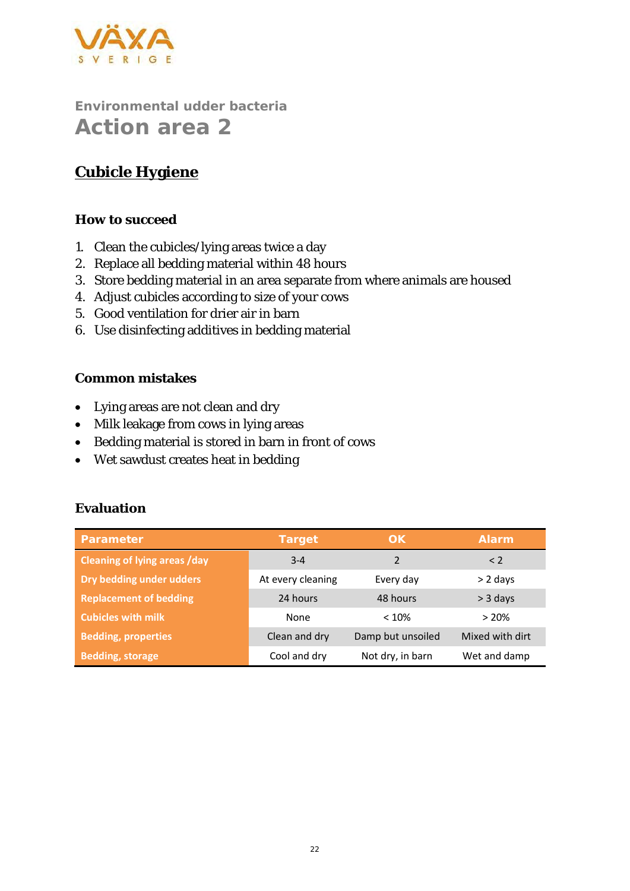

# **Cubicle Hygiene**

#### **How to succeed**

- 1. Clean the cubicles/lying areas twice a day
- 2. Replace all bedding material within 48 hours
- 3. Store bedding material in an area separate from where animals are housed
- 4. Adjust cubicles according to size of your cows
- 5. Good ventilation for drier air in barn
- 6. Use disinfecting additives in bedding material

#### **Common mistakes**

- Lying areas are not clean and dry
- Milk leakage from cows in lying areas
- Bedding material is stored in barn in front of cows
- Wet sawdust creates heat in bedding

| Parameter                           | Target            | OK.               | <b>Alarm</b>    |
|-------------------------------------|-------------------|-------------------|-----------------|
| <b>Cleaning of lying areas /day</b> | $3 - 4$           | $\mathcal{P}$     | $\leq$ 2        |
| Dry bedding under udders            | At every cleaning | Every day         | $> 2$ days      |
| <b>Replacement of bedding</b>       | 24 hours          | 48 hours          | $>$ 3 days      |
| <b>Cubicles with milk</b>           | None              | < 10%             | >20%            |
| <b>Bedding, properties</b>          | Clean and dry     | Damp but unsoiled | Mixed with dirt |
| <b>Bedding, storage</b>             | Cool and dry      | Not dry, in barn  | Wet and damp    |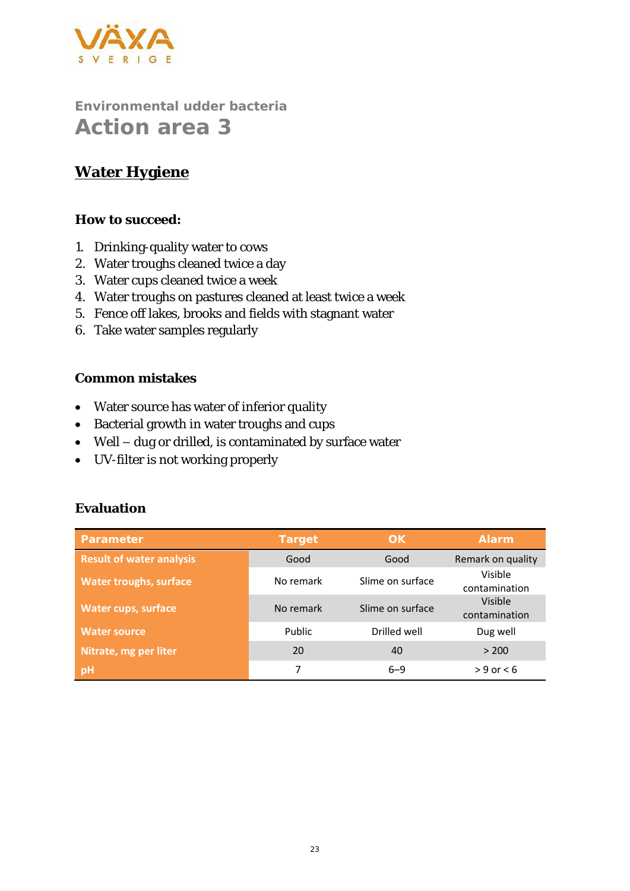

### **Water Hygiene**

**How to succeed:**

- 1. Drinking-quality water to cows
- 2. Water troughs cleaned twice a day
- 3. Water cups cleaned twice a week
- 4. Water troughs on pastures cleaned at least twice a week
- 5. Fence off lakes, brooks and fields with stagnant water
- 6. Take water samples regularly

**Common mistakes**

- Water source has water of inferior quality
- Bacterial growth in water troughs and cups
- Well dug or drilled, is contaminated by surface water
- UV-filter is not working properly

| Parameter                       | Target    | OK.              | <b>Alarm</b>             |
|---------------------------------|-----------|------------------|--------------------------|
| <b>Result of water analysis</b> | Good      | Good             | Remark on quality        |
| <b>Water troughs, surface</b>   | No remark | Slime on surface | Visible<br>contamination |
| <b>Water cups, surface</b>      | No remark | Slime on surface | Visible<br>contamination |
| <b>Water source</b>             | Public    | Drilled well     | Dug well                 |
| Nitrate, mg per liter           | 20        | 40               | > 200                    |
| pH                              |           | $6 - 9$          | $> 9$ or $< 6$           |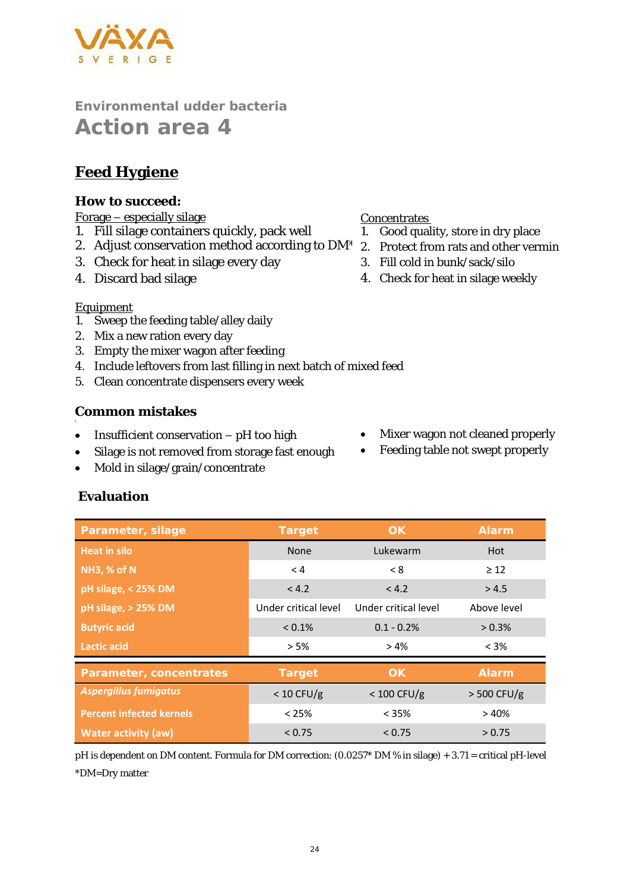

### **Feed Hygiene**

**How to succeed:**

#### Forage – especially silage

- 1. Fill silage containers quickly, pack well
- 2. Adjust conservation method according to DM\*
- 3. Check for heat in silage every day
- 4. Discard bad silage

#### **Concentrates**

- 1. Good quality, store in dry place
- 2. Protect from rats and other vermin
- 3. Fill cold in bunk/sack/silo
- 4. Check for heat in silage weekly

#### Equipment

'

- 1. Sweep the feeding table/alley daily
- 2. Mix a new ration every day
- 3. Empty the mixer wagon after feeding
- 4. Include leftovers from last filling in next batch of mixed feed
- 5. Clean concentrate dispensers every week

#### **Common mistakes**

- Insufficient conservation pH too high
- Silage is not removed from storage fast enough
- Mold in silage/grain/concentrate
- Mixer wagon not cleaned properly
- Feeding table not swept properly

# **Heat in silo** None Lukewarm Hot **NH3, % of N**  $\geq 12$ **pH silage, < 25% DM**  $\le$  4.2  $\le$  4.2  $\ge$  4.5 **pH silage, > 25% DM** Under critical level Under critical level Above level **Butyric acid Butyric acid COLOGY <b>2.1% 0.1-0.2%** 2.3% **Lactic acid** > 5% > 4% < 3% *Aspergillus fumigatus* < 10 CFU/g < 100 CFU/g > 500 CFU/g **Percent infected kernels** < 25% < 35% > 40% **Water activity (aw)**  $\times 0.75$   $\times 0.75$   $\times 0.75$   $\times 0.75$

pH is dependent on DM content. Formula for DM correction: (0.0257\* DM % in silage) + 3.71 = critical pH-level \*DM=Dry matter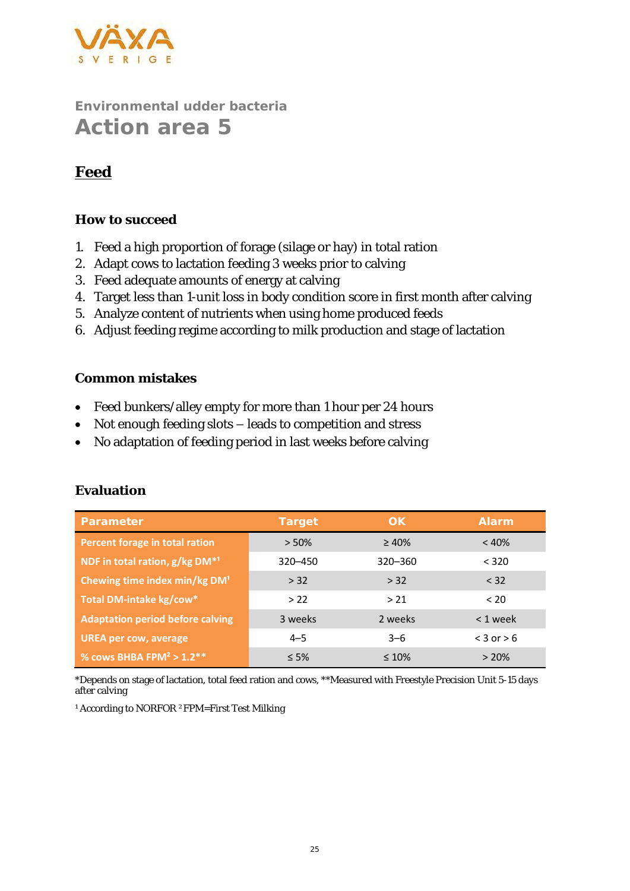

### **Feed**

#### **How to succeed**

- 1. Feed a high proportion of forage (silage or hay) in total ration
- 2. Adapt cows to lactation feeding 3 weeks prior to calving
- 3. Feed adequate amounts of energy at calving
- 4. Target less than 1-unit loss in body condition score in first month after calving
- 5. Analyze content of nutrients when using home produced feeds
- 6. Adjust feeding regime according to milk production and stage of lactation

#### **Common mistakes**

- Feed bunkers/alley empty for more than 1 hour per 24 hours
- Not enough feeding slots leads to competition and stress
- No adaptation of feeding period in last weeks before calving

| Parameter                                 | Target     | OK.         | Alarm          |
|-------------------------------------------|------------|-------------|----------------|
| <b>Percent forage in total ration</b>     | $> 50\%$   | $\geq 40\%$ | < 40%          |
| NDF in total ration, g/kg DM*1            | 320-450    | 320 - 360   | < 320          |
| Chewing time index min/kg DM <sup>1</sup> | > 32       | > 32        | < 32           |
| Total DM-intake kg/cow*                   | >22        | > 21        | < 20           |
| <b>Adaptation period before calving</b>   | 3 weeks    | 2 weeks     | $< 1$ week     |
| <b>UREA per cow, average</b>              | $4 - 5$    | $3 - 6$     | $<$ 3 or $>$ 6 |
| % cows BHBA FPM <sup>2</sup> > $1.2**$    | $\leq 5\%$ | $\leq 10\%$ | $> 20\%$       |

### **Evaluation**

\*Depends on stage of lactation, total feed ration and cows, \*\*Measured with Freestyle Precision Unit 5-15 days after calving

<sup>1</sup> According to NORFOR <sup>2</sup>FPM=First Test Milking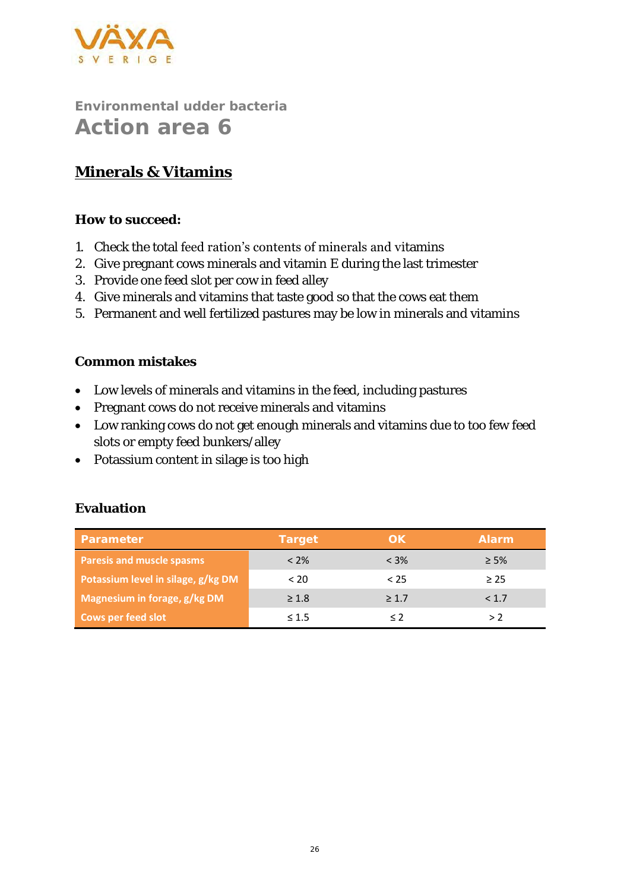

## **Minerals & Vitamins**

**How to succeed:**

- 1. Check the total feed ration's contents of minerals and vitamins
- 2. Give pregnant cows minerals and vitamin E during the last trimester
- 3. Provide one feed slot per cow in feed alley
- 4. Give minerals and vitamins that taste good so that the cows eat them
- 5. Permanent and well fertilized pastures may be low in minerals and vitamins

#### **Common mistakes**

- Low levels of minerals and vitamins in the feed, including pastures
- Pregnant cows do not receive minerals and vitamins
- Low ranking cows do not get enough minerals and vitamins due to too few feed slots or empty feed bunkers/alley
- Potassium content in silage is too high

| Parameter                          | Target     | OK.     | Alarm     |
|------------------------------------|------------|---------|-----------|
| Paresis and muscle spasms          | $< 2\%$    | $< 3\%$ | $\geq$ 5% |
| Potassium level in silage, g/kg DM | < 20       | < 25    | > 25      |
| Magnesium in forage, g/kg DM       | $\geq 1.8$ | >1.7    | < 1.7     |
| <b>Cows per feed slot</b>          | $\leq 1.5$ |         | > 2       |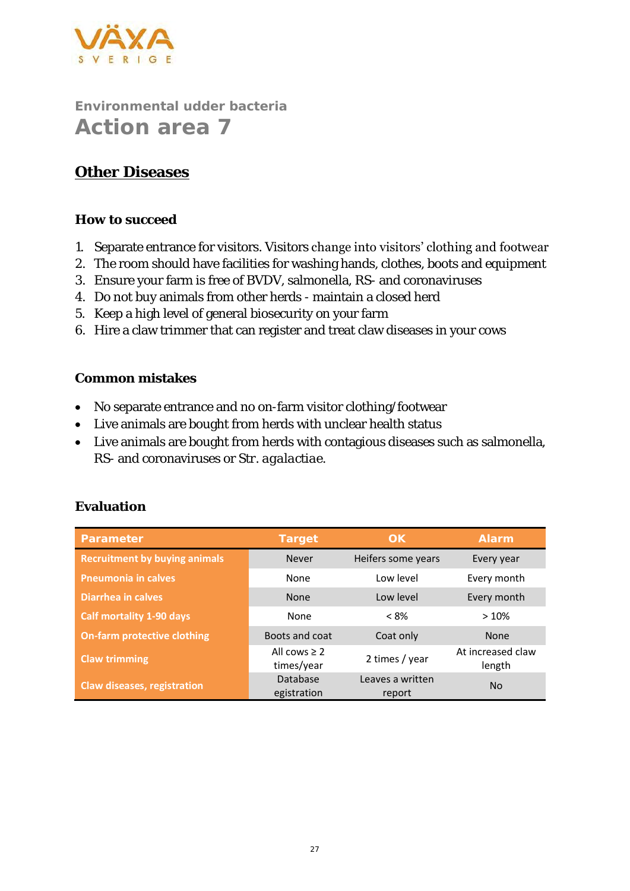

### **Other Diseases**

#### **How to succeed**

- 1. Separate entrance for visitors. Visitors change into visitors' clothing and footwear
- 2. The room should have facilities for washing hands, clothes, boots and equipment
- 3. Ensure your farm is free of BVDV, salmonella, RS- and coronaviruses
- 4. Do not buy animals from other herds maintain a closed herd
- 5. Keep a high level of general biosecurity on your farm
- 6. Hire a claw trimmer that can register and treat claw diseases in your cows

#### **Common mistakes**

- No separate entrance and no on-farm visitor clothing/footwear
- Live animals are bought from herds with unclear health status
- Live animals are bought from herds with contagious diseases such as salmonella, RS- and coronaviruses or *Str. agalactiae*.

| Parameter                            | Target                          | OK                         | Alarm                       |
|--------------------------------------|---------------------------------|----------------------------|-----------------------------|
| <b>Recruitment by buying animals</b> | Never                           | Heifers some years         | Every year                  |
| <b>Pneumonia in calves</b>           | None                            | Low level                  | Every month                 |
| Diarrhea in calves                   | <b>None</b>                     | Low level                  | Every month                 |
| <b>Calf mortality 1-90 days</b>      | None                            | $< 8\%$                    | >10%                        |
| <b>On-farm protective clothing</b>   | Boots and coat                  | Coat only                  | <b>None</b>                 |
| <b>Claw trimming</b>                 | All cows $\geq 2$<br>times/year | 2 times / year             | At increased claw<br>length |
| Claw diseases, registration          | Database<br>egistration         | Leaves a written<br>report | <b>No</b>                   |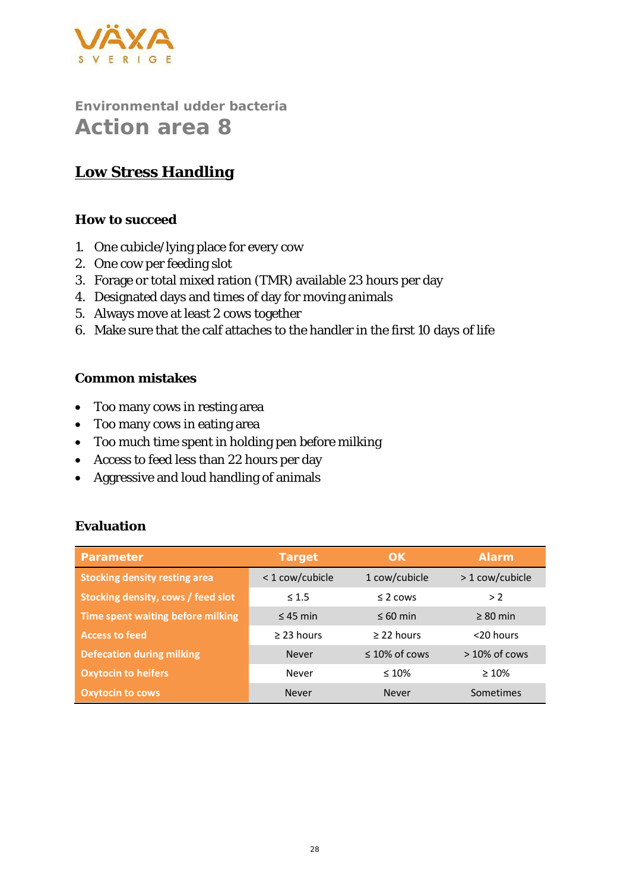

### **Low Stress Handling**

#### **How to succeed**

- 1. One cubicle/lying place for every cow
- 2. One cow per feeding slot
- 3. Forage or total mixed ration (TMR) available 23 hours per day
- 4. Designated days and times of day for moving animals
- 5. Always move at least 2 cows together
- 6. Make sure that the calf attaches to the handler in the first 10 days of life

#### **Common mistakes**

- Too many cows in resting area
- Too many cows in eating area
- Too much time spent in holding pen before milking
- Access to feed less than 22 hours per day
- Aggressive and loud handling of animals

| Parameter                            | Target          | OK.                 | Alarm           |
|--------------------------------------|-----------------|---------------------|-----------------|
| <b>Stocking density resting area</b> | < 1 cow/cubicle | 1 cow/cubicle       | > 1 cow/cubicle |
| Stocking density, cows / feed slot   | $\leq 1.5$      | $\leq$ 2 cows       | >2              |
| Time spent waiting before milking    | $\leq$ 45 min   | $\leq 60$ min       | $\geq 80$ min   |
| <b>Access to feed</b>                | $\geq$ 23 hours | $\geq$ 22 hours     | $<$ 20 hours    |
| <b>Defecation during milking</b>     | <b>Never</b>    | $\leq 10\%$ of cows | $>10\%$ of cows |
| <b>Oxytocin to heifers</b>           | Never           | $\leq 10\%$         | $\geq 10\%$     |
| <b>Oxytocin to cows</b>              | Never           | <b>Never</b>        | Sometimes       |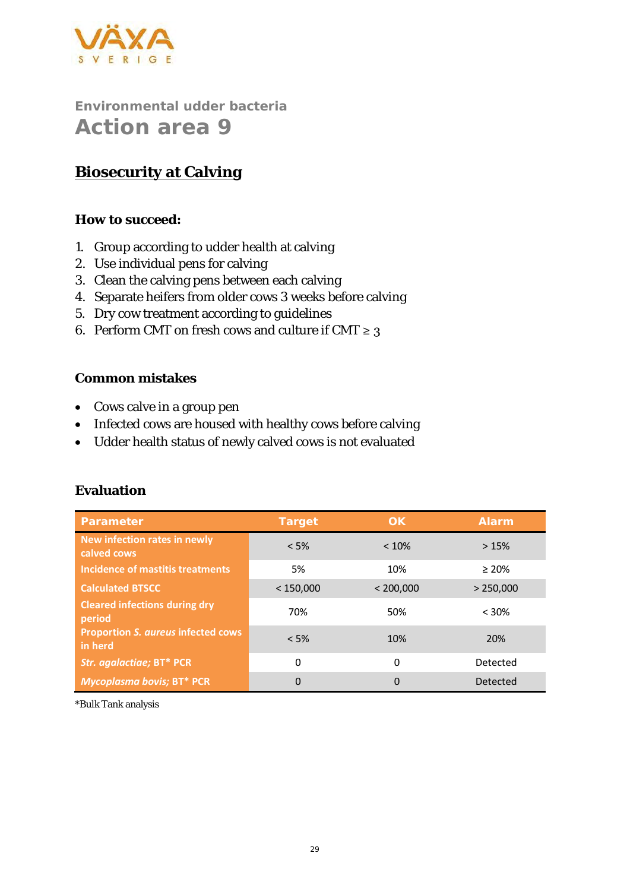

### **Biosecurity at Calving**

**How to succeed:** 

- 1. Group according to udder health at calving
- 2. Use individual pens for calving
- 3. Clean the calving pens between each calving
- 4. Separate heifers from older cows 3 weeks before calving
- 5. Dry cow treatment according to guidelines
- 6. Perform CMT on fresh cows and culture if CMT  $\geq 3$

#### **Common mistakes**

- Cows calve in a group pen
- Infected cows are housed with healthy cows before calving
- Udder health status of newly calved cows is not evaluated

| Parameter                                            | Target    | OK.       | Alarm       |
|------------------------------------------------------|-----------|-----------|-------------|
| New infection rates in newly<br>calved cows          | < 5%      | < 10%     | >15%        |
| Incidence of mastitis treatments                     | 5%        | 10%       | $\geq 20\%$ |
| <b>Calculated BTSCC</b>                              | < 150,000 | < 200,000 | > 250,000   |
| <b>Cleared infections during dry</b><br>period       | 70%       | 50%       | < 30%       |
| <b>Proportion S. aureus infected cows</b><br>in herd | $< 5\%$   | 10%       | 20%         |
| Str. agalactiae; BT* PCR                             | 0         | 0         | Detected    |
| <b>Mycoplasma bovis; BT* PCR</b>                     | 0         | $\Omega$  | Detected    |

#### **Evaluation**

\*Bulk Tank analysis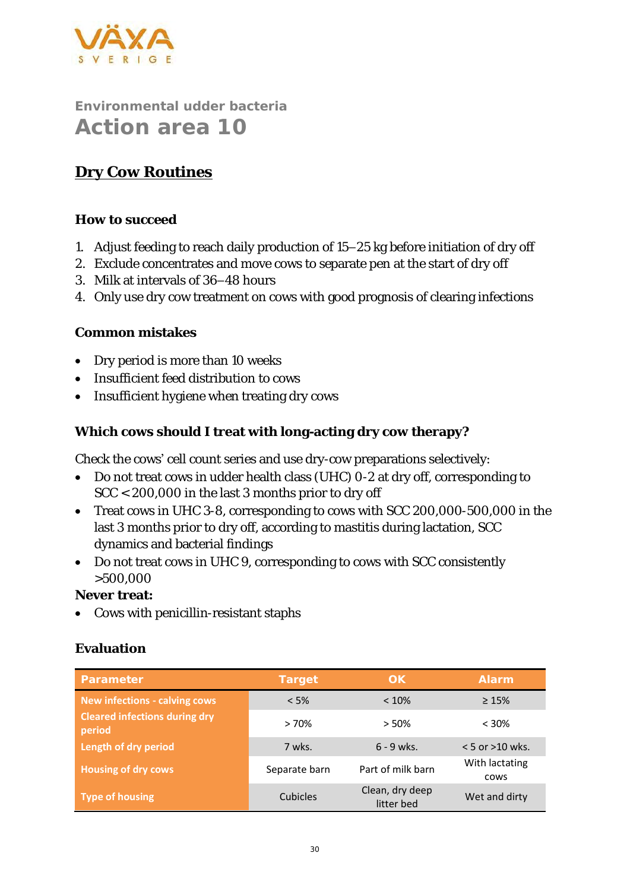

### **Dry Cow Routines**

#### **How to succeed**

- 1. Adjust feeding to reach daily production of 15–25 kg before initiation of dry off
- 2. Exclude concentrates and move cows to separate pen at the start of dry off
- 3. Milk at intervals of 36–48 hours
- 4. Only use dry cow treatment on cows with good prognosis of clearing infections

#### **Common mistakes**

- Dry period is more than 10 weeks
- Insufficient feed distribution to cows
- Insufficient hygiene when treating dry cows

**Which cows should I treat with long-acting dry cow therapy?**

Check the cows' cell count series and use dry-cow preparations selectively:

- Do not treat cows in udder health class (UHC) 0-2 at dry off, corresponding to SCC < 200,000 in the last 3 months prior to dry off
- Treat cows in UHC 3-8, corresponding to cows with SCC 200,000-500,000 in the last 3 months prior to dry off, according to mastitis during lactation, SCC dynamics and bacterial findings
- Do not treat cows in UHC 9, corresponding to cows with SCC consistently >500,000

**Never treat:** 

• Cows with penicillin-resistant staphs

| Parameter                                      | Target        | OK.                           | Alarm                         |
|------------------------------------------------|---------------|-------------------------------|-------------------------------|
| <b>New infections - calving cows</b>           | $< 5\%$       | $< 10\%$                      | $\geq 15\%$                   |
| <b>Cleared infections during dry</b><br>period | >70%          | $> 50\%$                      | $< 30\%$                      |
| Length of dry period                           | 7 wks.        | $6 - 9$ wks.                  | $< 5$ or $>10$ wks.           |
| <b>Housing of dry cows</b>                     | Separate barn | Part of milk barn             | With lactating<br><b>COWS</b> |
| <b>Type of housing</b>                         | Cubicles      | Clean, dry deep<br>litter bed | Wet and dirty                 |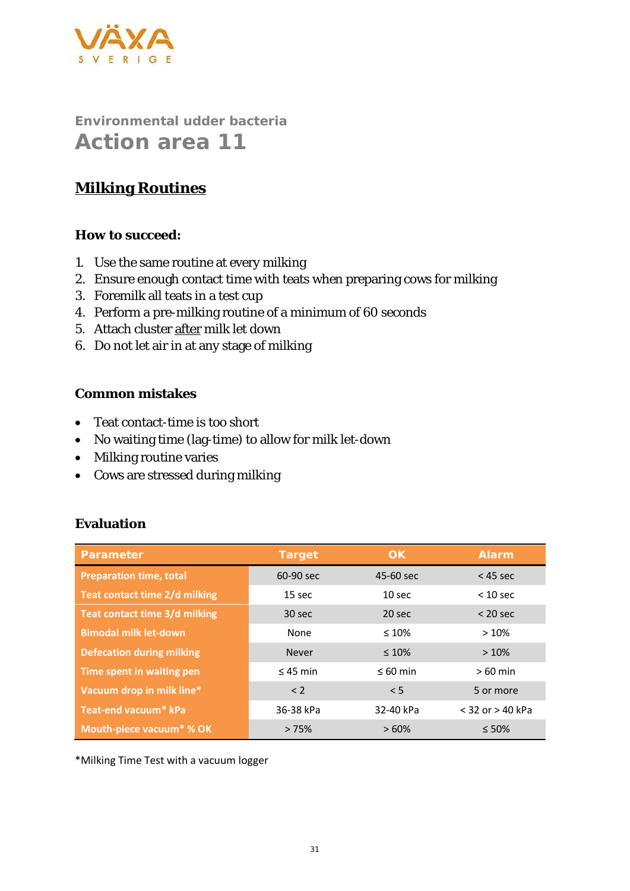

### **Milking Routines**

**How to succeed:**

- 1. Use the same routine at every milking
- 2. Ensure enough contact time with teats when preparing cows for milking
- 3. Foremilk all teats in a test cup
- 4. Perform a pre-milking routine of a minimum of 60 seconds
- 5. Attach cluster after milk let down
- 6. Do not let air in at any stage of milking

#### **Common mistakes**

- Teat contact-time is too short
- No waiting time (lag-time) to allow for milk let-down
- Milking routine varies
- Cows are stressed during milking

#### **Evaluation**

| Parameter                        | Target        | OK                | Alarm                |
|----------------------------------|---------------|-------------------|----------------------|
| <b>Preparation time, total</b>   | 60-90 sec     | 45-60 sec         | $<$ 45 sec           |
| Teat contact time 2/d milking    | 15 sec        | 10 <sub>sec</sub> | $< 10$ sec           |
| Teat contact time 3/d milking    | 30 sec        | 20 sec            | $<$ 20 sec           |
| <b>Bimodal milk let-down</b>     | None          | $\leq 10\%$       | >10%                 |
| <b>Defecation during milking</b> | <b>Never</b>  | $\leq 10\%$       | >10%                 |
| Time spent in waiting pen        | $\leq$ 45 min | $\leq 60$ min     | $>60$ min            |
| Vacuum drop in milk line*        | < 2           | < 5               | 5 or more            |
| Teat-end vacuum* kPa             | 36-38 kPa     | 32-40 kPa         | $<$ 32 or $>$ 40 kPa |
| Mouth-piece vacuum* % OK         | >75%          | >60%              | $\leq 50\%$          |

\*Milking Time Test with a vacuum logger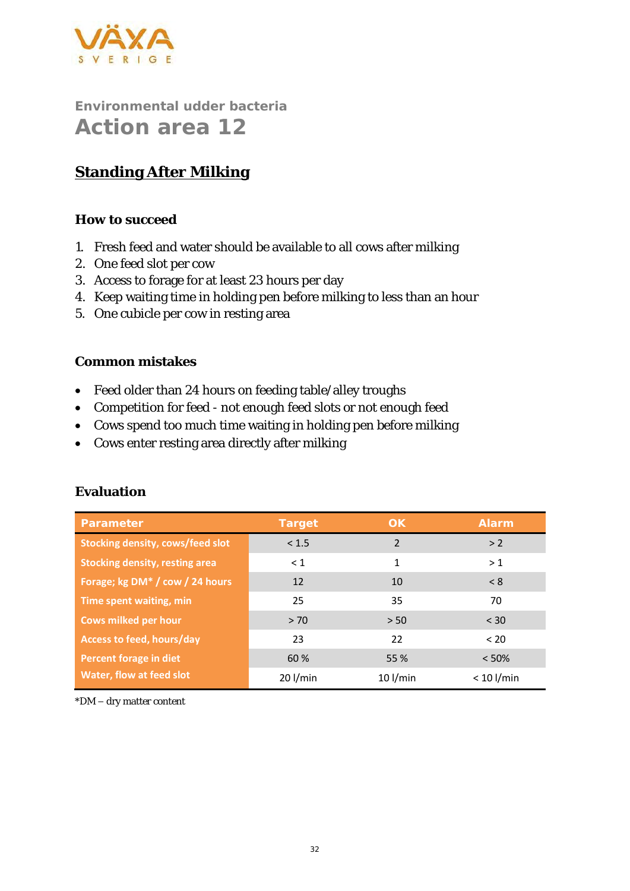

# **Standing After Milking**

#### **How to succeed**

- 1. Fresh feed and water should be available to all cows after milking
- 2. One feed slot per cow
- 3. Access to forage for at least 23 hours per day
- 4. Keep waiting time in holding pen before milking to less than an hour
- 5. One cubicle per cow in resting area

#### **Common mistakes**

- Feed older than 24 hours on feeding table/alley troughs
- Competition for feed not enough feed slots or not enough feed
- Cows spend too much time waiting in holding pen before milking
- Cows enter resting area directly after milking

| Parameter                                   | Target     | OK         | Alarm        |
|---------------------------------------------|------------|------------|--------------|
| <b>Stocking density, cows/feed slot</b>     | < 1.5      | 2          | > 2          |
| <b>Stocking density, resting area</b>       | $\leq 1$   | 1          | >1           |
| Forage; kg DM <sup>*</sup> / cow / 24 hours | 12         | 10         | < 8          |
| Time spent waiting, min                     | 25         | 35         | 70           |
| <b>Cows milked per hour</b>                 | > 70       | > 50       | $<$ 30       |
| Access to feed, hours/day                   | 23         | 22         | < 20         |
| Percent forage in diet                      | 60 %       | 55 %       | < 50%        |
| Water, flow at feed slot                    | $20$ l/min | $10$ l/min | $< 10$ l/min |

#### **Evaluation**

\*DM – dry matter content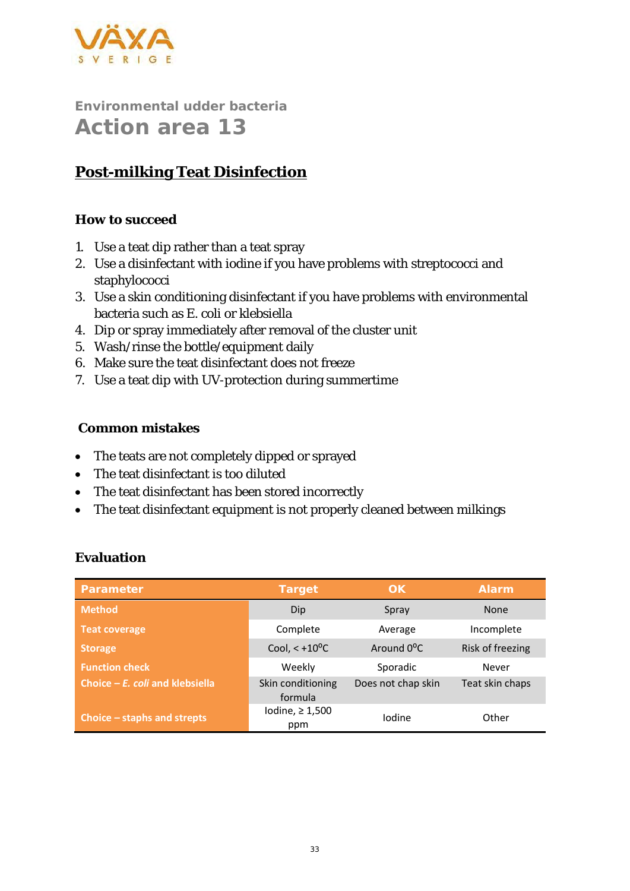

# **Post-milking Teat Disinfection**

#### **How to succeed**

- 1. Use a teat dip rather than a teat spray
- 2. Use a disinfectant with iodine if you have problems with streptococci and staphylococci
- 3. Use a skin conditioning disinfectant if you have problems with environmental bacteria such as *E. coli* or klebsiella
- 4. Dip or spray immediately after removal of the cluster unit
- 5. Wash/rinse the bottle/equipment daily
- 6. Make sure the teat disinfectant does not freeze
- 7. Use a teat dip with UV-protection during summertime

#### **Common mistakes**

- The teats are not completely dipped or sprayed
- The teat disinfectant is too diluted
- The teat disinfectant has been stored incorrectly
- The teat disinfectant equipment is not properly cleaned between milkings

| Parameter                         | Target                       | OK.                     | Alarm <sup>'</sup> |
|-----------------------------------|------------------------------|-------------------------|--------------------|
| <b>Method</b>                     | Dip                          | Spray                   | <b>None</b>        |
| <b>Teat coverage</b>              | Complete                     | Average                 | Incomplete         |
| <b>Storage</b>                    | Cool, $< +10$ <sup>o</sup> C | Around 0 <sup>o</sup> C | Risk of freezing   |
| <b>Function check</b>             | Weekly                       | Sporadic                | Never              |
| Choice $-E$ . coli and klebsiella | Skin conditioning<br>formula | Does not chap skin      | Teat skin chaps    |
| Choice $-$ staphs and strepts     | Iodine, $\geq 1,500$<br>ppm  | Iodine                  | Other              |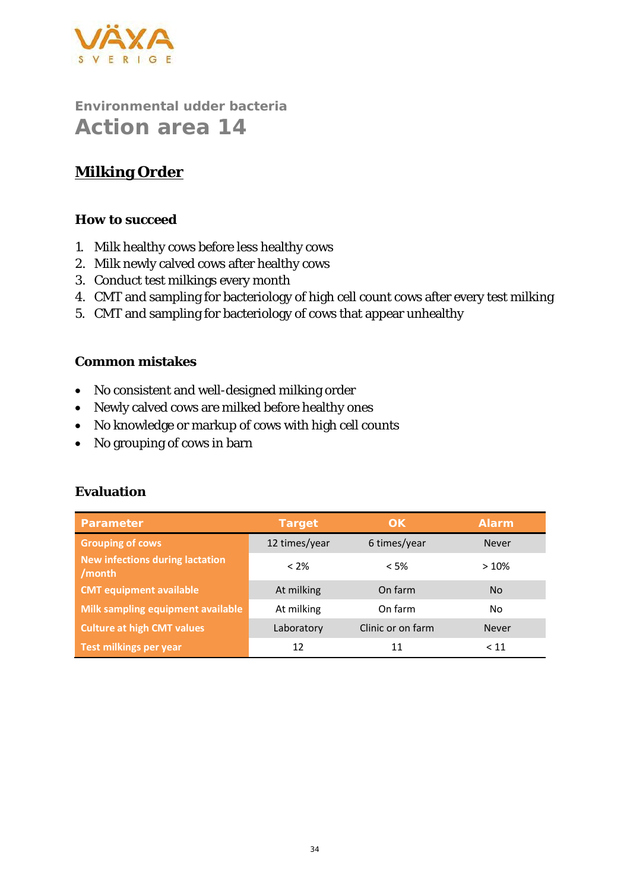

## **Milking Order**

#### **How to succeed**

- 1. Milk healthy cows before less healthy cows
- 2. Milk newly calved cows after healthy cows
- 3. Conduct test milkings every month
- 4. CMT and sampling for bacteriology of high cell count cows after every test milking
- 5. CMT and sampling for bacteriology of cows that appear unhealthy

#### **Common mistakes**

- No consistent and well-designed milking order
- Newly calved cows are milked before healthy ones
- No knowledge or markup of cows with high cell counts
- No grouping of cows in barn

| Parameter                                        | Target        | OK.               | <b>Alarm</b> |
|--------------------------------------------------|---------------|-------------------|--------------|
| <b>Grouping of cows</b>                          | 12 times/year | 6 times/year      | <b>Never</b> |
| <b>New infections during lactation</b><br>/month | $< 2\%$       | < 5%              | >10%         |
| <b>CMT equipment available</b>                   | At milking    | On farm           | <b>No</b>    |
| Milk sampling equipment available                | At milking    | On farm           | No.          |
| <b>Culture at high CMT values</b>                | Laboratory    | Clinic or on farm | <b>Never</b> |
| <b>Test milkings per year</b>                    | 12            | 11                | < 11         |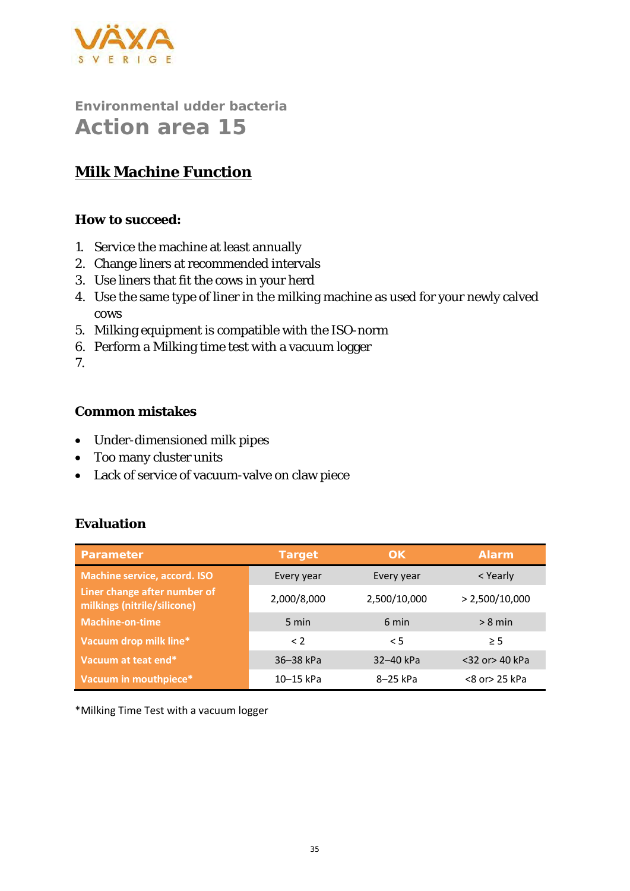

## **Milk Machine Function**

**How to succeed:**

- 1. Service the machine at least annually
- 2. Change liners at recommended intervals
- 3. Use liners that fit the cows in your herd
- 4. Use the same type of liner in the milking machine as used for your newly calved cows
- 5. Milking equipment is compatible with the ISO-norm
- 6. Perform a Milking time test with a vacuum logger

7.

#### **Common mistakes**

- Under-dimensioned milk pipes
- Too many cluster units
- Lack of service of vacuum-valve on claw piece

#### **Evaluation**

| Parameter                                                   | Target      | OK           | Alarm          |
|-------------------------------------------------------------|-------------|--------------|----------------|
| <b>Machine service, accord. ISO</b>                         | Every year  | Every year   | < Yearly       |
| Liner change after number of<br>milkings (nitrile/silicone) | 2,000/8,000 | 2,500/10,000 | > 2,500/10,000 |
| <b>Machine-on-time</b>                                      | 5 min       | 6 min        | $> 8$ min      |
| Vacuum drop milk line*                                      | $\langle$ 2 | < 5          | > 5            |
| Vacuum at teat end*                                         | 36-38 kPa   | 32-40 kPa    | <32 or> 40 kPa |
| Vacuum in mouthpiece*                                       | 10-15 kPa   | 8-25 kPa     | <8 or> 25 kPa  |

\*Milking Time Test with a vacuum logger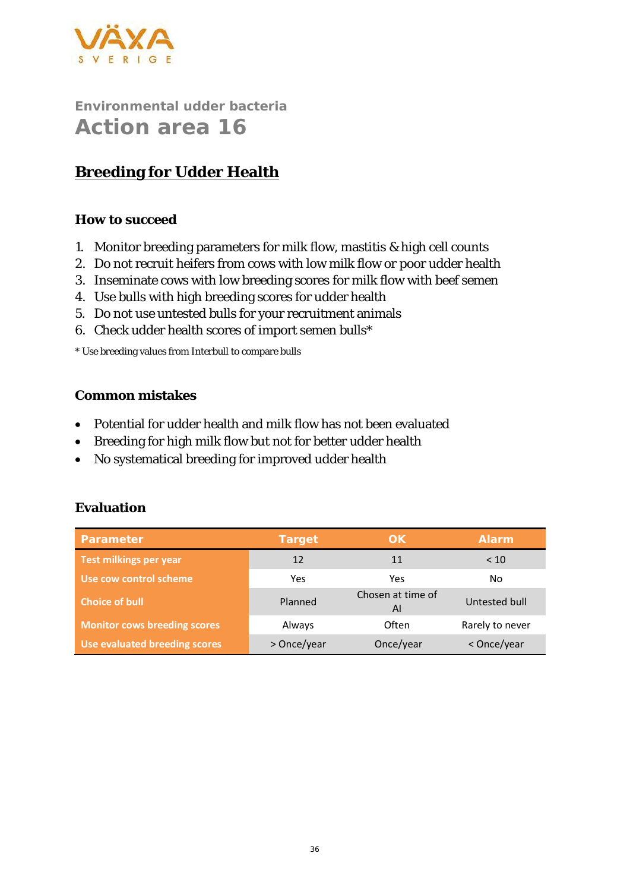

## **Breeding for Udder Health**

#### **How to succeed**

- 1. Monitor breeding parameters for milk flow, mastitis & high cell counts
- 2. Do not recruit heifers from cows with low milk flow or poor udder health
- 3. Inseminate cows with low breeding scores for milk flow with beef semen
- 4. Use bulls with high breeding scores for udder health
- 5. Do not use untested bulls for your recruitment animals
- 6. Check udder health scores of import semen bulls\*

\* Use breeding values from Interbull to compare bulls

#### **Common mistakes**

- Potential for udder health and milk flow has not been evaluated
- Breeding for high milk flow but not for better udder health
- No systematical breeding for improved udder health

| Parameter                           | Target      | OK.                     | <b>Alarm</b>    |
|-------------------------------------|-------------|-------------------------|-----------------|
| Test milkings per year              | 12          | 11                      | < 10            |
| Use cow control scheme              | Yes         | Yes                     | No.             |
| <b>Choice of bull</b>               | Planned     | Chosen at time of<br>AI | Untested bull   |
| <b>Monitor cows breeding scores</b> | Always      | Often                   | Rarely to never |
| Use evaluated breeding scores       | > Once/year | Once/year               | < Once/year     |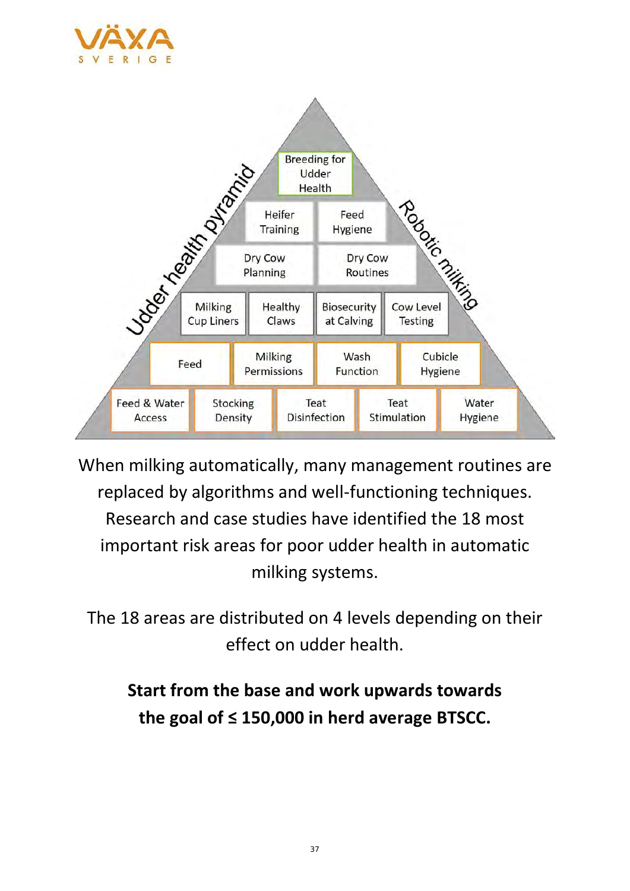



When milking automatically, many management routines are replaced by algorithms and well-functioning techniques. Research and case studies have identified the 18 most important risk areas for poor udder health in automatic milking systems.

The 18 areas are distributed on 4 levels depending on their effect on udder health.

# **Start from the base and work upwards towards the goal of ≤ 150,000 in herd average BTSCC.**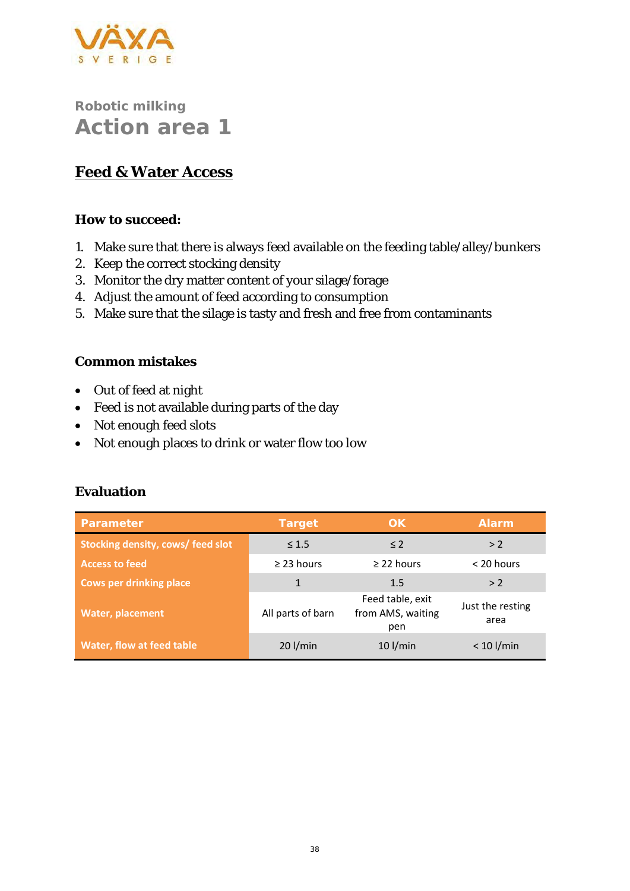

### **Feed & Water Access**

**How to succeed:**

- 1. Make sure that there is always feed available on the feeding table/alley/bunkers
- 2. Keep the correct stocking density
- 3. Monitor the dry matter content of your silage/forage
- 4. Adjust the amount of feed according to consumption
- 5. Make sure that the silage is tasty and fresh and free from contaminants

#### **Common mistakes**

- Out of feed at night
- Feed is not available during parts of the day
- Not enough feed slots
- Not enough places to drink or water flow too low

| Parameter                         | Target            | OK                                           | Alarm                    |
|-----------------------------------|-------------------|----------------------------------------------|--------------------------|
| Stocking density, cows/ feed slot | $\leq 1.5$        | $\leq$ 2                                     | > 2                      |
| <b>Access to feed</b>             | $\geq$ 23 hours   | $\geq$ 22 hours                              | $<$ 20 hours             |
| <b>Cows per drinking place</b>    |                   | 1.5                                          | > 2                      |
| <b>Water, placement</b>           | All parts of barn | Feed table, exit<br>from AMS, waiting<br>pen | Just the resting<br>area |
| Water, flow at feed table         | $20$ l/min        | $10$ l/min                                   | $< 10$ l/min             |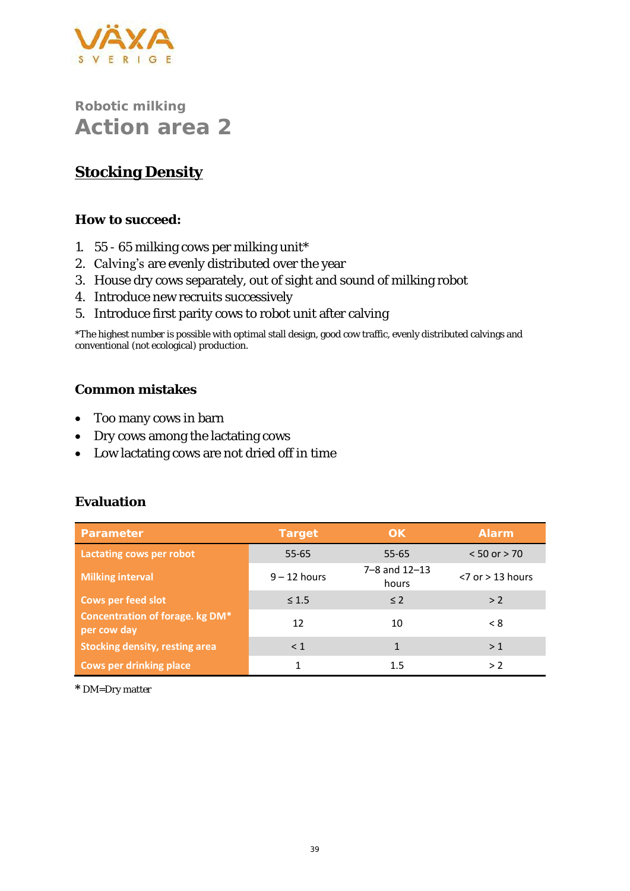

# **Stocking Density**

**How to succeed:**

- 1. 55 65 milking cows per milking unit\*
- 2. Calving's are evenly distributed over the year
- 3. House dry cows separately, out of sight and sound of milking robot
- 4. Introduce new recruits successively
- 5. Introduce first parity cows to robot unit after calving

\*The highest number is possible with optimal stall design, good cow traffic, evenly distributed calvings and conventional (not ecological) production.

#### **Common mistakes**

- Too many cows in barn
- Dry cows among the lactating cows
- Low lactating cows are not dried off in time

#### **Evaluation**

| Parameter                                             | Target         | OK.                            | <b>Alarm</b>          |
|-------------------------------------------------------|----------------|--------------------------------|-----------------------|
| Lactating cows per robot                              | 55-65          | $55 - 65$                      | $< 50$ or $> 70$      |
| <b>Milking interval</b>                               | $9 - 12$ hours | $7 - 8$ and $12 - 13$<br>hours | $<$ 7 or $>$ 13 hours |
| <b>Cows per feed slot</b>                             | $\leq 1.5$     | $\leq$ 2                       | > 2                   |
| <b>Concentration of forage. kg DM*</b><br>per cow day | 12             | 10                             | < 8                   |
| <b>Stocking density, resting area</b>                 | < 1            |                                | >1                    |
| <b>Cows per drinking place</b>                        |                | 1.5                            | > 2                   |

**\*** DM=Dry matter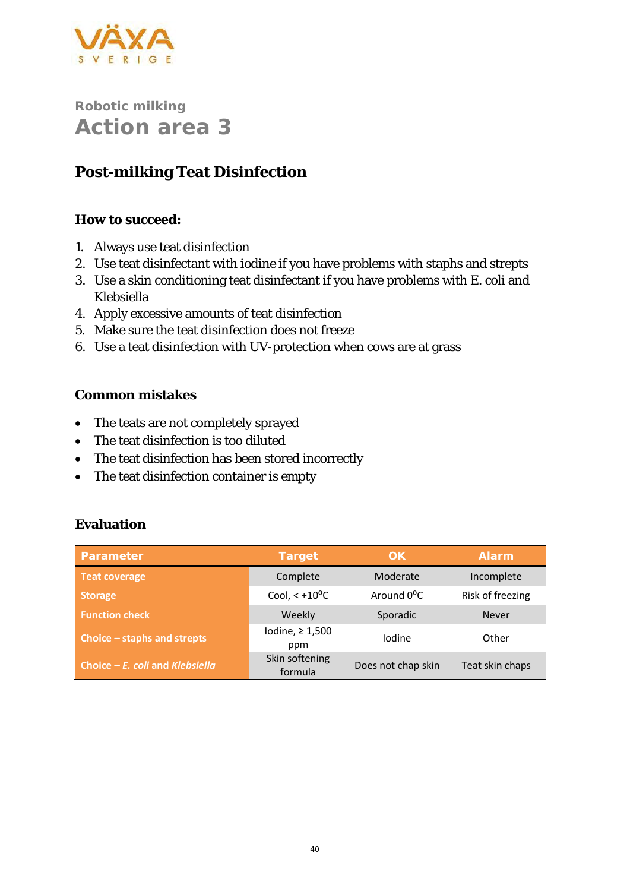

## **Post-milking Teat Disinfection**

**How to succeed:**

- 1. Always use teat disinfection
- 2. Use teat disinfectant with iodine if you have problems with staphs and strepts
- 3. Use a skin conditioning teat disinfectant if you have problems with *E. coli* and *Klebsiella*
- 4. Apply excessive amounts of teat disinfection
- 5. Make sure the teat disinfection does not freeze
- 6. Use a teat disinfection with UV-protection when cows are at grass

#### **Common mistakes**

- The teats are not completely sprayed
- The teat disinfection is too diluted
- The teat disinfection has been stored incorrectly
- The teat disinfection container is empty

| Parameter                         | Target                       | OK.                     | Alarm            |
|-----------------------------------|------------------------------|-------------------------|------------------|
| <b>Teat coverage</b>              | Complete                     | Moderate                | Incomplete       |
| <b>Storage</b>                    | Cool, $< +10$ <sup>o</sup> C | Around 0 <sup>o</sup> C | Risk of freezing |
| <b>Function check</b>             | Weekly                       | Sporadic                | <b>Never</b>     |
| Choice – staphs and strepts       | Iodine, $\geq 1,500$<br>ppm  | Iodine                  | Other            |
| Choice $-E$ . coli and Klebsiella | Skin softening<br>formula    | Does not chap skin      | Teat skin chaps  |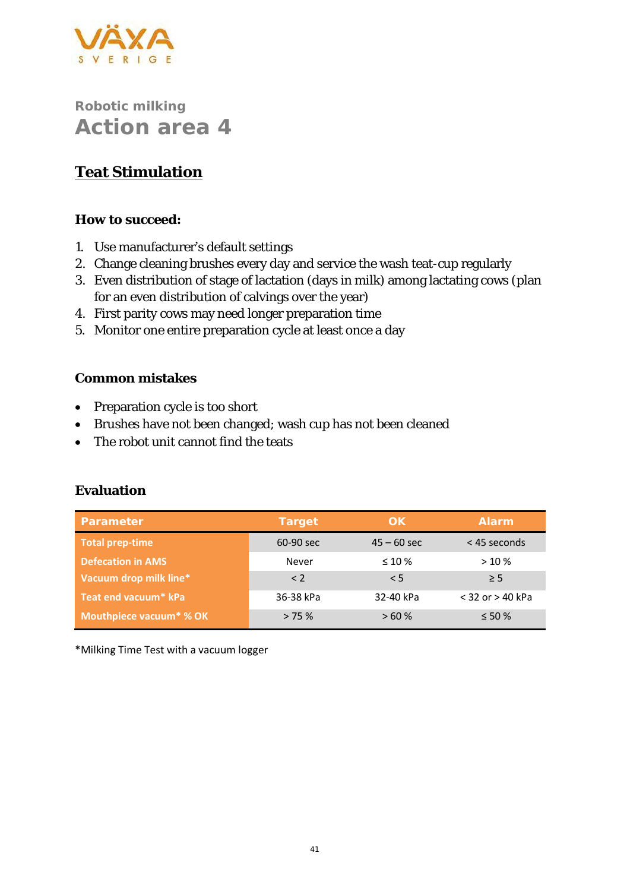

# **Teat Stimulation**

**How to succeed:**

- 1. Use manufacturer's default settings
- 2. Change cleaning brushes every day and service the wash teat-cup regularly
- 3. Even distribution of stage of lactation (days in milk) among lactating cows (plan for an even distribution of calvings over the year)
- 4. First parity cows may need longer preparation time
- 5. Monitor one entire preparation cycle at least once a day

#### **Common mistakes**

- Preparation cycle is too short
- Brushes have not been changed; wash cup has not been cleaned
- The robot unit cannot find the teats

| Parameter                           | Target      | 'OK i         | Alarm                |
|-------------------------------------|-------------|---------------|----------------------|
| Total prep-time                     | 60-90 sec   | $45 - 60$ sec | $<$ 45 seconds       |
| <b>Defecation in AMS</b>            | Never       | $\leq 10\%$   | >10%                 |
| Vacuum drop milk line*              | $\langle$ 2 | < 5           | > 5                  |
| Teat end vacuum* kPa                | 36-38 kPa   | 32-40 kPa     | $<$ 32 or $>$ 40 kPa |
| Mouthpiece vacuum <sup>*</sup> % OK | > 75%       | >60%          | $\leq 50\%$          |

#### **Evaluation**

\*Milking Time Test with a vacuum logger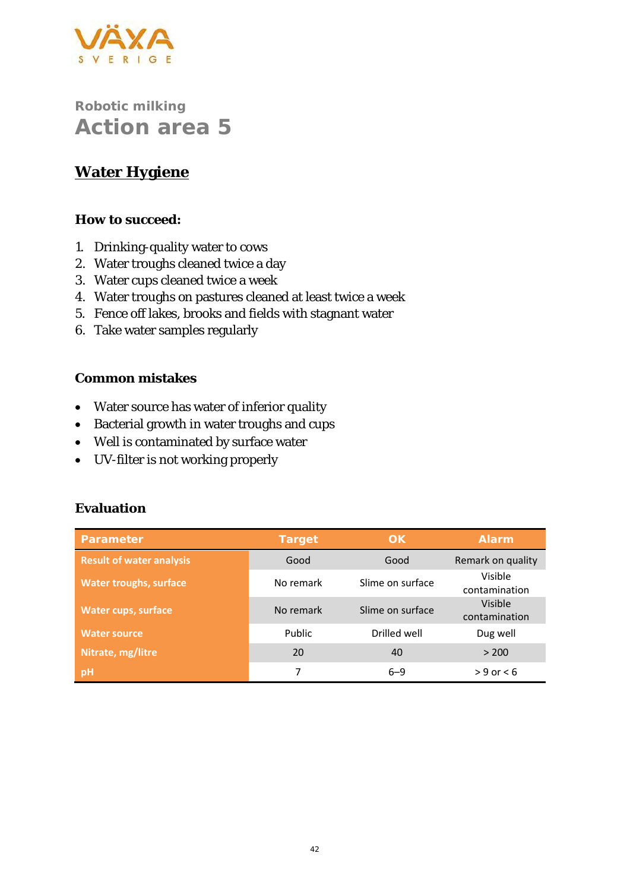

### **Water Hygiene**

**How to succeed:**

- 1. Drinking-quality water to cows
- 2. Water troughs cleaned twice a day
- 3. Water cups cleaned twice a week
- 4. Water troughs on pastures cleaned at least twice a week
- 5. Fence off lakes, brooks and fields with stagnant water
- 6. Take water samples regularly

**Common mistakes**

- Water source has water of inferior quality
- Bacterial growth in water troughs and cups
- Well is contaminated by surface water
- UV-filter is not working properly

| Parameter                       | Target    | OK               | <b>Alarm</b>             |
|---------------------------------|-----------|------------------|--------------------------|
| <b>Result of water analysis</b> | Good      | Good             | Remark on quality        |
| <b>Water troughs, surface</b>   | No remark | Slime on surface | Visible<br>contamination |
| Water cups, surface             | No remark | Slime on surface | Visible<br>contamination |
| <b>Water source</b>             | Public    | Drilled well     | Dug well                 |
| Nitrate, mg/litre               | 20        | 40               | > 200                    |
| pH                              |           | $6 - 9$          | $> 9$ or $< 6$           |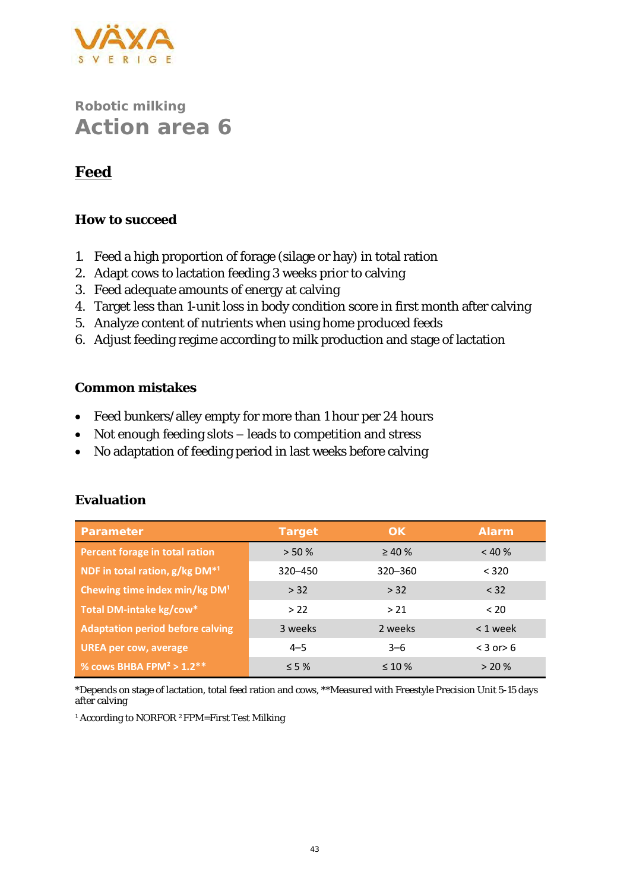

### **Feed**

#### **How to succeed**

- 1. Feed a high proportion of forage (silage or hay) in total ration
- 2. Adapt cows to lactation feeding 3 weeks prior to calving
- 3. Feed adequate amounts of energy at calving
- 4. Target less than 1-unit loss in body condition score in first month after calving
- 5. Analyze content of nutrients when using home produced feeds
- 6. Adjust feeding regime according to milk production and stage of lactation

#### **Common mistakes**

- Feed bunkers/alley empty for more than 1 hour per 24 hours
- Not enough feeding slots leads to competition and stress
- No adaptation of feeding period in last weeks before calving

| Parameter                                 | Target     | OK           | Alarm          |
|-------------------------------------------|------------|--------------|----------------|
| Percent forage in total ration            | > 50%      | $\geq 40 \%$ | < 40%          |
| NDF in total ration, g/kg DM*1            | 320-450    | $320 - 360$  | < 320          |
| Chewing time index min/kg DM <sup>1</sup> | > 32       | > 32         | < 32           |
| Total DM-intake kg/cow*                   | > 22       | > 21         | < 20           |
| <b>Adaptation period before calving</b>   | 3 weeks    | 2 weeks      | $< 1$ week     |
| <b>UREA per cow, average</b>              | $4 - 5$    | $3 - 6$      | $<$ 3 or $>$ 6 |
| % cows BHBA FPM <sup>2</sup> > $1.2**$    | $\leq$ 5 % | $\leq 10\%$  | > 20%          |

#### **Evaluation**

\*Depends on stage of lactation, total feed ration and cows, \*\*Measured with Freestyle Precision Unit 5-15 days after calving

<sup>1</sup> According to NORFOR <sup>2</sup>FPM=First Test Milking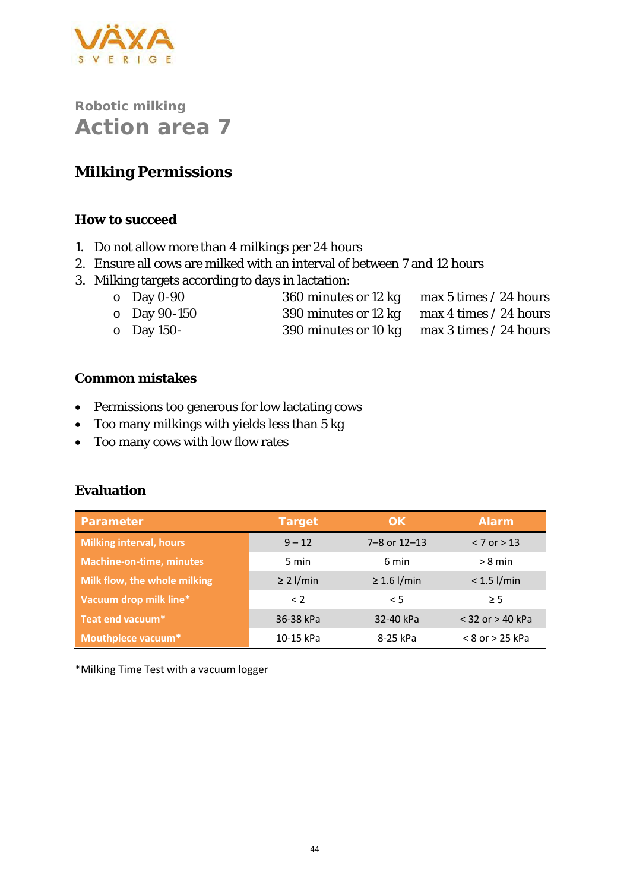

### **Milking Permissions**

#### **How to succeed**

- 1. Do not allow more than 4 milkings per 24 hours
- 2. Ensure all cows are milked with an interval of between 7 and 12 hours
- 3. Milking targets according to days in lactation:
	- o Day 0-90 360 minutes or 12 kg max 5 times / 24 hours o Day 90-150 390 minutes or 12 kg max 4 times / 24 hours
	- o Day 150- 390 minutes or 10 kg max 3 times / 24 hours

#### **Common mistakes**

- Permissions too generous for low lactating cows
- Too many milkings with yields less than 5 kg
- Too many cows with low flow rates

#### **Evaluation**

| Parameter                       | Target         | 'OK i            | Alarm                |
|---------------------------------|----------------|------------------|----------------------|
| <b>Milking interval, hours</b>  | $9 - 12$       | 7-8 or 12-13     | $< 7$ or $> 13$      |
| <b>Machine-on-time, minutes</b> | 5 min          | 6 min            | $> 8$ min            |
| Milk flow, the whole milking    | $\geq$ 2 l/min | $\geq 1.6$ l/min | $< 1.5$ l/min        |
| Vacuum drop milk line*          | $\leq$ 2       | < 5              | $\geq$ 5             |
| Teat end vacuum*                | 36-38 kPa      | 32-40 kPa        | $<$ 32 or $>$ 40 kPa |
| Mouthpiece vacuum*              | 10-15 kPa      | 8-25 kPa         | $< 8$ or $> 25$ kPa  |

\*Milking Time Test with a vacuum logger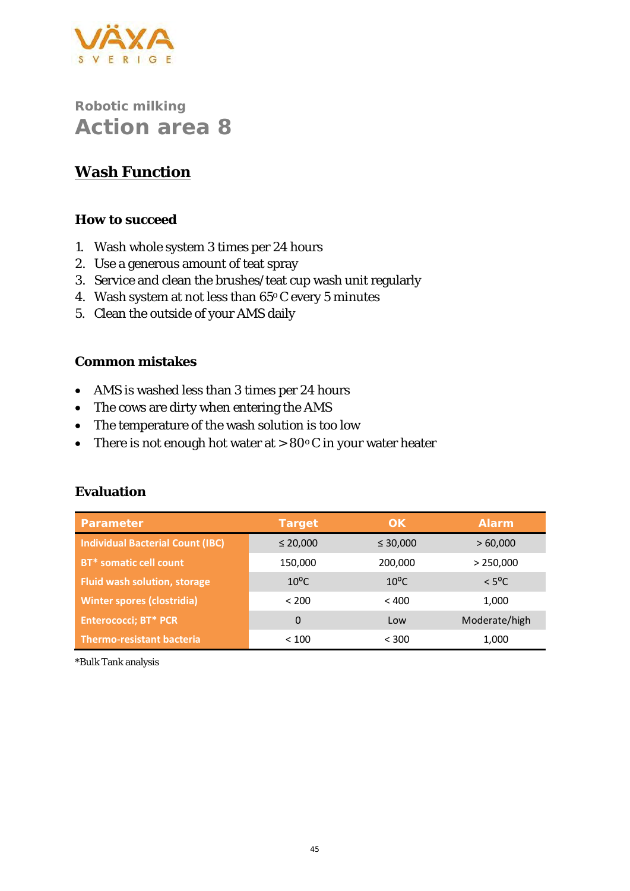

## **Wash Function**

#### **How to succeed**

- 1. Wash whole system 3 times per 24 hours
- 2. Use a generous amount of teat spray
- 3. Service and clean the brushes/teat cup wash unit regularly
- 4. Wash system at not less than 65°C every 5 minutes
- 5. Clean the outside of your AMS daily

#### **Common mistakes**

- AMS is washed less than 3 times per 24 hours
- The cows are dirty when entering the AMS
- The temperature of the wash solution is too low
- There is not enough hot water at > 80°C in your water heater

| Parameter                               | Target         | OK             | <b>Alarm</b>    |
|-----------------------------------------|----------------|----------------|-----------------|
| <b>Individual Bacterial Count (IBC)</b> | $\leq 20,000$  | $\leq 30,000$  | >60,000         |
| BT* somatic cell count                  | 150,000        | 200,000        | > 250,000       |
| <b>Fluid wash solution, storage</b>     | $10^{\circ}$ C | $10^{\circ}$ C | $< 5^{\circ}$ C |
| <b>Winter spores (clostridia)</b>       | < 200          | < 400          | 1,000           |
| <b>Enterococci; BT* PCR</b>             | $\Omega$       | Low            | Moderate/high   |
| <b>Thermo-resistant bacteria</b>        | < 100          | < 300          | 1,000           |

#### **Evaluation**

\*Bulk Tank analysis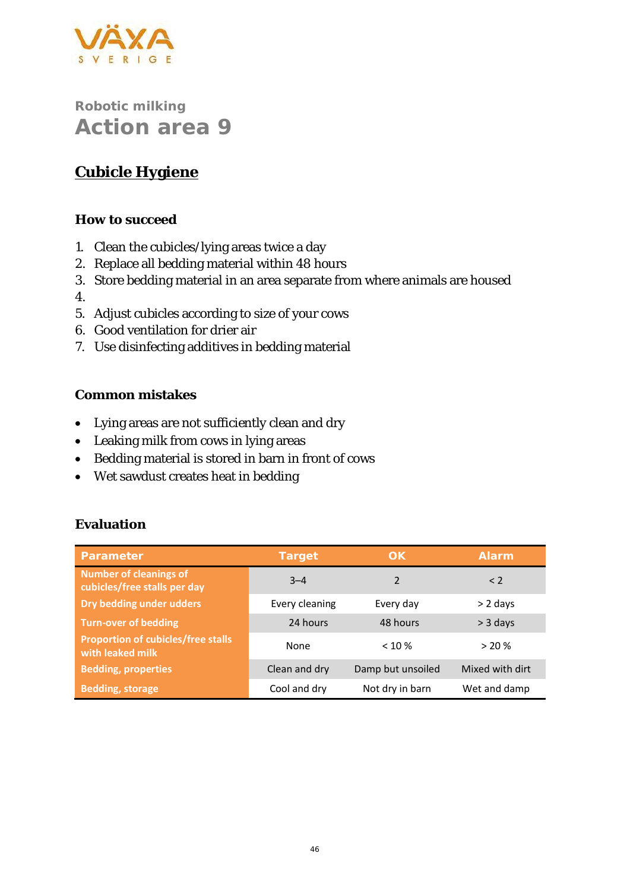

# **Cubicle Hygiene**

#### **How to succeed**

- 1. Clean the cubicles/lying areas twice a day
- 2. Replace all bedding material within 48 hours
- 3. Store bedding material in an area separate from where animals are housed
- 4.
- 5. Adjust cubicles according to size of your cows
- 6. Good ventilation for drier air
- 7. Use disinfecting additives in bedding material

#### **Common mistakes**

- Lying areas are not sufficiently clean and dry
- Leaking milk from cows in lying areas
- Bedding material is stored in barn in front of cows
- Wet sawdust creates heat in bedding

| Parameter                                                     | Target         | OK.               | Alarm           |
|---------------------------------------------------------------|----------------|-------------------|-----------------|
| <b>Number of cleanings of</b><br>cubicles/free stalls per day | $3 - 4$        | $\mathfrak{p}$    | $\langle$ 2     |
| Dry bedding under udders                                      | Every cleaning | Every day         | $> 2$ days      |
| <b>Turn-over of bedding</b>                                   | 24 hours       | 48 hours          | $>$ 3 days      |
| <b>Proportion of cubicles/free stalls</b><br>with leaked milk | None           | $< 10 \%$         | > 20%           |
| <b>Bedding, properties</b>                                    | Clean and dry  | Damp but unsoiled | Mixed with dirt |
| <b>Bedding, storage</b>                                       | Cool and dry   | Not dry in barn   | Wet and damp    |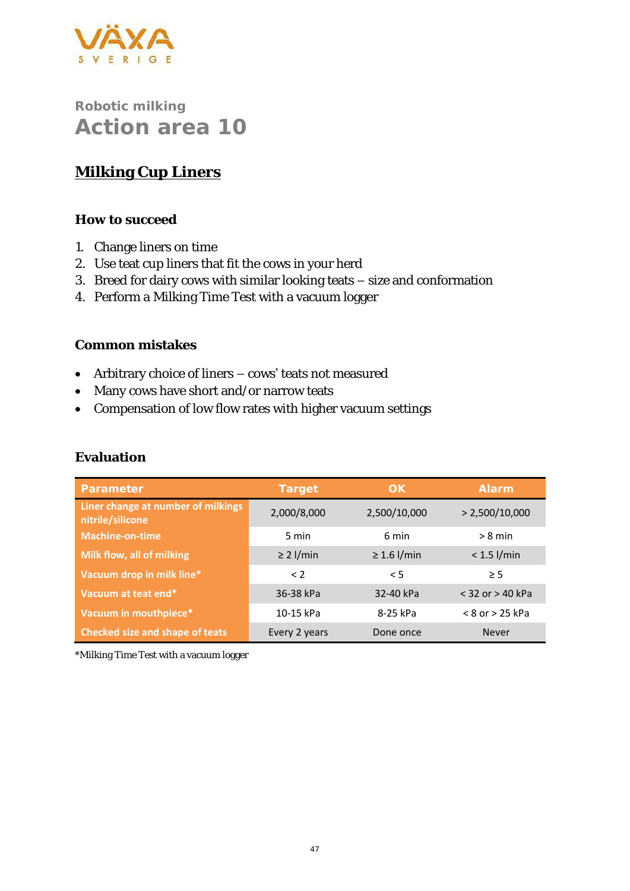

## **Milking Cup Liners**

**How to succeed**

- 1. Change liners on time
- 2. Use teat cup liners that fit the cows in your herd
- 3. Breed for dairy cows with similar looking teats size and conformation
- 4. Perform a Milking Time Test with a vacuum logger

#### **Common mistakes**

- Arbitrary choice of liners cows' teats not measured
- Many cows have short and/or narrow teats
- Compensation of low flow rates with higher vacuum settings

| Parameter                                              | Target         | OK               | Alarm                |
|--------------------------------------------------------|----------------|------------------|----------------------|
| Liner change at number of milkings<br>nitrile/silicone | 2,000/8,000    | 2,500/10,000     | > 2,500/10,000       |
| <b>Machine-on-time</b>                                 | 5 min          | 6 min            | $> 8$ min            |
| Milk flow, all of milking                              | $\geq$ 2 l/min | $\geq 1.6$ l/min | $< 1.5$ l/min        |
| Vacuum drop in milk line*                              | $\langle$ 2    | < 5              | $\geq$ 5             |
| Vacuum at teat end*                                    | 36-38 kPa      | 32-40 kPa        | $<$ 32 or $>$ 40 kPa |
| Vacuum in mouthpiece*                                  | 10-15 kPa      | 8-25 kPa         | $< 8$ or $> 25$ kPa  |
| <b>Checked size and shape of teats</b>                 | Every 2 years  | Done once        | <b>Never</b>         |

\*Milking Time Test with a vacuum logger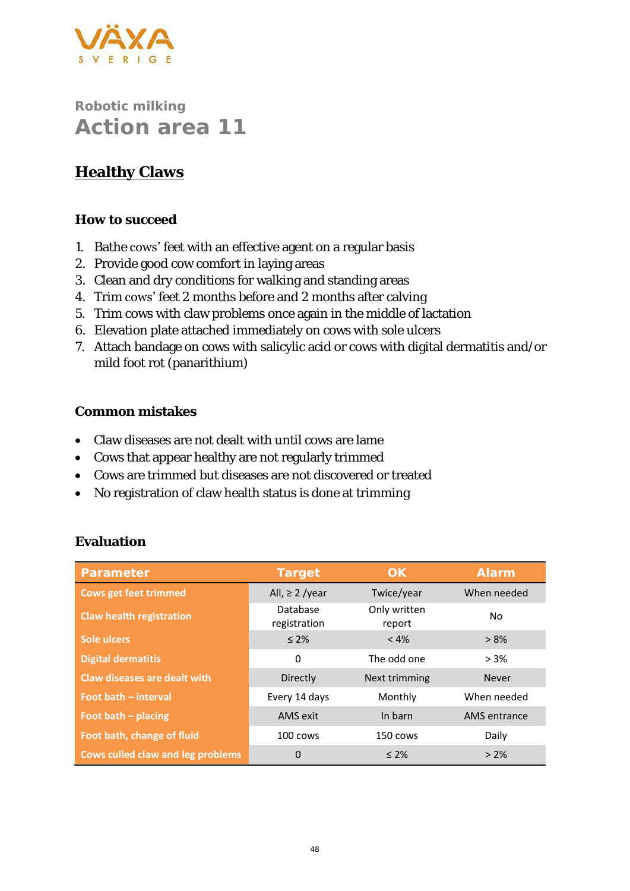

### **Healthy Claws**

#### **How to succeed**

- 1. Bathe cows' feet with an effective agent on a regular basis
- 2. Provide good cow comfort in laying areas
- 3. Clean and dry conditions for walking and standing areas
- 4. Trim cows' feet 2 months before and 2 months after calving
- 5. Trim cows with claw problems once again in the middle of lactation
- 6. Elevation plate attached immediately on cows with sole ulcers
- 7. Attach bandage on cows with salicylic acid or cows with digital dermatitis and/or mild foot rot (panarithium)

#### **Common mistakes**

- Claw diseases are not dealt with until cows are lame
- Cows that appear healthy are not regularly trimmed
- Cows are trimmed but diseases are not discovered or treated
- No registration of claw health status is done at trimming

| Parameter                                | Target                   | OK                     | Alarm        |
|------------------------------------------|--------------------------|------------------------|--------------|
| <b>Cows get feet trimmed</b>             | All, $\geq$ 2 /year      | Twice/year             | When needed  |
| <b>Claw health registration</b>          | Database<br>registration | Only written<br>report | No.          |
| Sole ulcers                              | $\leq 2\%$               | $< 4\%$                | $> 8\%$      |
| <b>Digital dermatitis</b>                | 0                        | The odd one            | $> 3\%$      |
| <b>Claw diseases are dealt with</b>      | Directly                 | Next trimming          | <b>Never</b> |
| Foot bath - interval                     | Every 14 days            | Monthly                | When needed  |
| Foot bath $-$ placing                    | AMS exit                 | In barn                | AMS entrance |
| Foot bath, change of fluid               | 100 cows                 | 150 cows               | Daily        |
| <b>Cows culled claw and leg problems</b> | 0                        | $\leq 2\%$             | $> 2\%$      |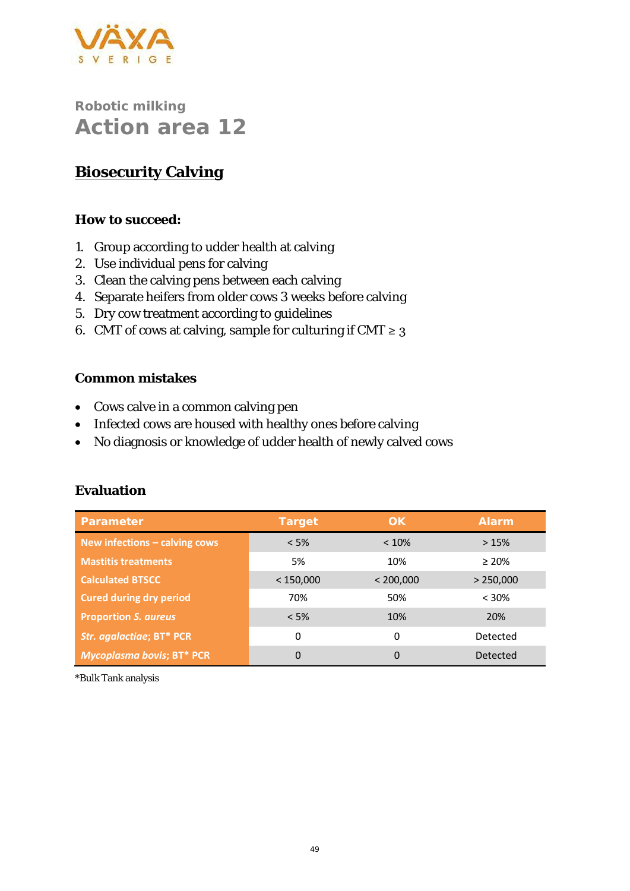

### **Biosecurity Calving**

**How to succeed:** 

- 1. Group according to udder health at calving
- 2. Use individual pens for calving
- 3. Clean the calving pens between each calving
- 4. Separate heifers from older cows 3 weeks before calving
- 5. Dry cow treatment according to guidelines
- 6. CMT of cows at calving, sample for culturing if CMT  $\geq$  3

#### **Common mistakes**

- Cows calve in a common calving pen
- Infected cows are housed with healthy ones before calving
- No diagnosis or knowledge of udder health of newly calved cows

| Parameter                       | Target    | OK.       | Alarm       |
|---------------------------------|-----------|-----------|-------------|
| New infections $-$ calving cows | < 5%      | < 10%     | >15%        |
| <b>Mastitis treatments</b>      | 5%        | 10%       | $\geq 20\%$ |
| <b>Calculated BTSCC</b>         | < 150,000 | < 200,000 | > 250,000   |
| <b>Cured during dry period</b>  | 70%       | 50%       | $< 30\%$    |
| <b>Proportion S. aureus</b>     | $< 5\%$   | 10%       | <b>20%</b>  |
| Str. agalactiae; BT* PCR        | 0         | 0         | Detected    |
| Mycoplasma bovis; BT* PCR       | 0         | $\Omega$  | Detected    |

#### **Evaluation**

\*Bulk Tank analysis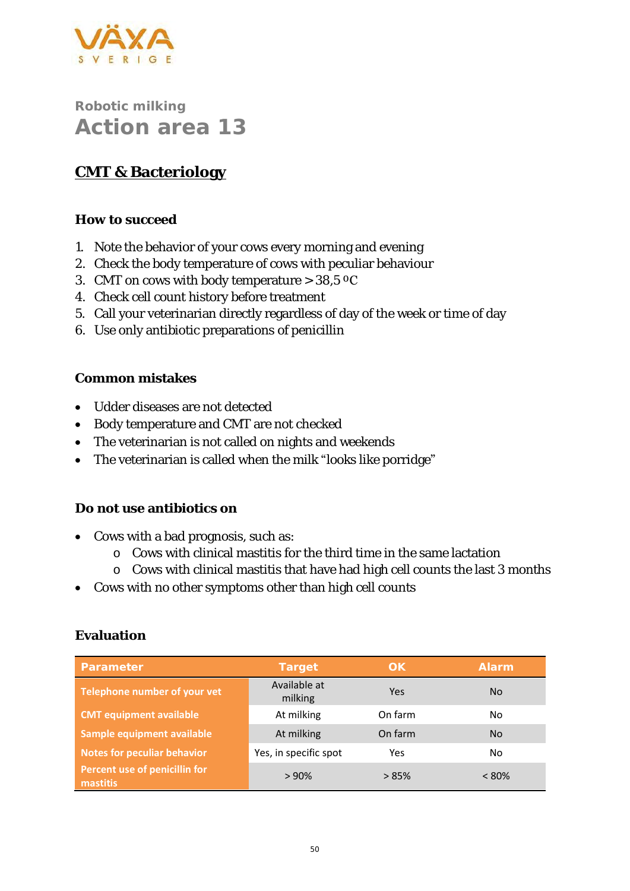

# **CMT & Bacteriology**

#### **How to succeed**

- 1. Note the behavior of your cows every morning and evening
- 2. Check the body temperature of cows with peculiar behaviour
- 3. CMT on cows with body temperature  $>$  38,5  $^{\circ}$ C
- 4. Check cell count history before treatment
- 5. Call your veterinarian directly regardless of day of the week or time of day
- 6. Use only antibiotic preparations of penicillin

#### **Common mistakes**

- Udder diseases are not detected
- Body temperature and CMT are not checked
- The veterinarian is not called on nights and weekends
- The veterinarian is called when the milk "looks like porridge"

#### **Do not use antibiotics on**

- Cows with a bad prognosis, such as:
	- o Cows with clinical mastitis for the third time in the same lactation
	- o Cows with clinical mastitis that have had high cell counts the last 3 months
- Cows with no other symptoms other than high cell counts

| Parameter                                 | Target                  | OK.     | Alarm    |
|-------------------------------------------|-------------------------|---------|----------|
| Telephone number of your vet              | Available at<br>milking | Yes     | No.      |
| <b>CMT equipment available</b>            | At milking              | On farm | No.      |
| Sample equipment available                | At milking              | On farm | No.      |
| <b>Notes for peculiar behavior</b>        | Yes, in specific spot   | Yes     | No.      |
| Percent use of penicillin for<br>mastitis | >90%                    | >85%    | $< 80\%$ |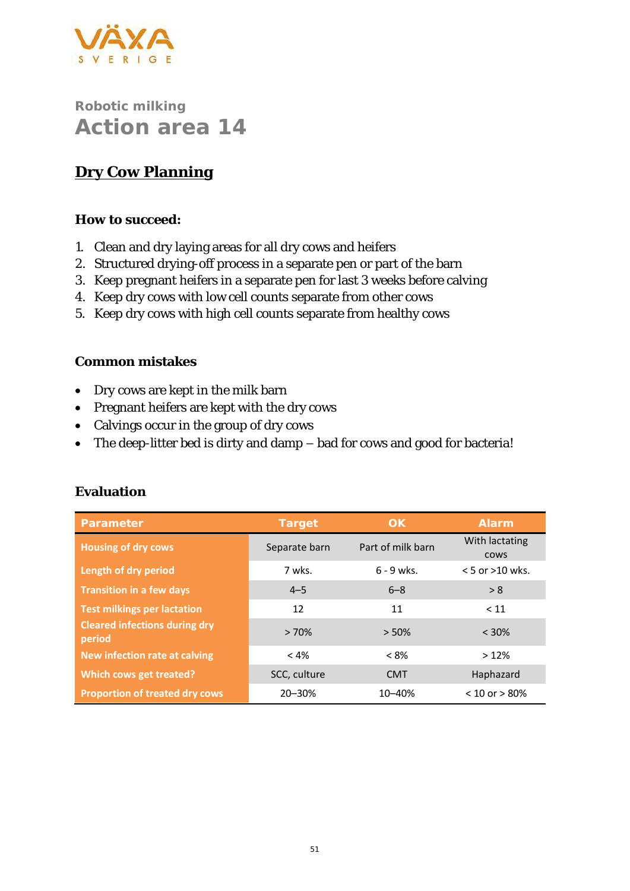

# **Dry Cow Planning**

#### **How to succeed:**

- 1. Clean and dry laying areas for all dry cows and heifers
- 2. Structured drying-off process in a separate pen or part of the barn
- 3. Keep pregnant heifers in a separate pen for last 3 weeks before calving
- 4. Keep dry cows with low cell counts separate from other cows
- 5. Keep dry cows with high cell counts separate from healthy cows

#### **Common mistakes**

- Dry cows are kept in the milk barn
- Pregnant heifers are kept with the dry cows
- Calvings occur in the group of dry cows
- The deep-litter bed is dirty and damp bad for cows and good for bacteria!

| Parameter                                      | Target        | OK.               | <b>Alarm</b>                  |
|------------------------------------------------|---------------|-------------------|-------------------------------|
| <b>Housing of dry cows</b>                     | Separate barn | Part of milk barn | With lactating<br><b>COWS</b> |
| Length of dry period                           | 7 wks.        | $6 - 9$ wks.      | $< 5$ or $>10$ wks.           |
| <b>Transition in a few days</b>                | $4 - 5$       | $6 - 8$           | > 8                           |
| <b>Test milkings per lactation</b>             | 12            | 11                | < 11                          |
| <b>Cleared infections during dry</b><br>period | >70%          | > 50%             | $< 30\%$                      |
| New infection rate at calving                  | $< 4\%$       | $< 8\%$           | >12%                          |
| Which cows get treated?                        | SCC, culture  | <b>CMT</b>        | Haphazard                     |
| <b>Proportion of treated dry cows</b>          | 20-30%        | 10-40%            | $< 10$ or $> 80\%$            |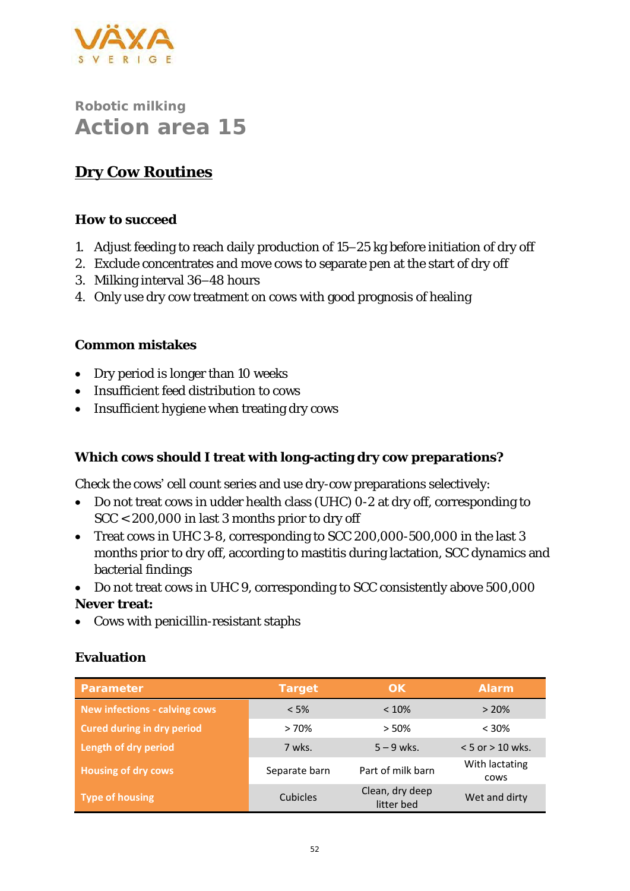

### **Dry Cow Routines**

#### **How to succeed**

- 1. Adjust feeding to reach daily production of 15–25 kg before initiation of dry off
- 2. Exclude concentrates and move cows to separate pen at the start of dry off
- 3. Milking interval 36–48 hours
- 4. Only use dry cow treatment on cows with good prognosis of healing

#### **Common mistakes**

- Dry period is longer than 10 weeks
- Insufficient feed distribution to cows
- Insufficient hygiene when treating dry cows

**Which cows should I treat with long-acting dry cow preparations?**

Check the cows' cell count series and use dry-cow preparations selectively:

- Do not treat cows in udder health class (UHC) 0-2 at dry off, corresponding to SCC < 200,000 in last 3 months prior to dry off
- Treat cows in UHC 3-8, corresponding to SCC 200,000-500,000 in the last 3 months prior to dry off, according to mastitis during lactation, SCC dynamics and bacterial findings
- Do not treat cows in UHC 9, corresponding to SCC consistently above 500,000 **Never treat:**
- Cows with penicillin-resistant staphs

| Parameter                            | Target        | OK.                           | Alarm                  |
|--------------------------------------|---------------|-------------------------------|------------------------|
| <b>New infections - calving cows</b> | $< 5\%$       | $< 10\%$                      | >20%                   |
| <b>Cured during in dry period</b>    | >70%          | > 50%                         | $< 30\%$               |
| Length of dry period                 | 7 wks.        | $5 - 9$ wks.                  | $< 5$ or $> 10$ wks.   |
| <b>Housing of dry cows</b>           | Separate barn | Part of milk barn             | With lactating<br>cows |
| <b>Type of housing</b>               | Cubicles      | Clean, dry deep<br>litter bed | Wet and dirty          |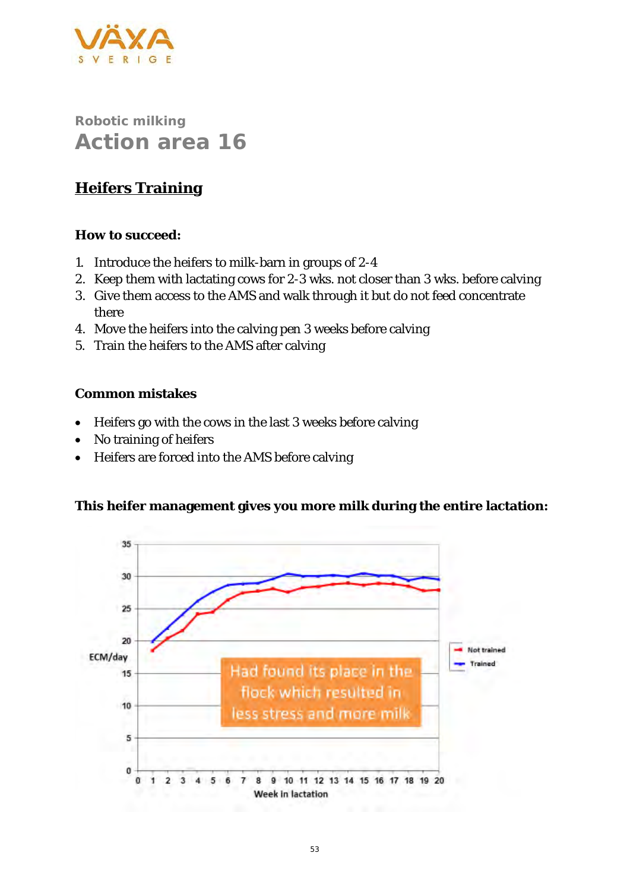

## **Heifers Training**

**How to succeed:**

- 1. Introduce the heifers to milk-barn in groups of 2-4
- 2. Keep them with lactating cows for 2-3 wks. not closer than 3 wks. before calving
- 3. Give them access to the AMS and walk through it but do not feed concentrate there
- 4. Move the heifers into the calving pen 3 weeks before calving
- 5. Train the heifers to the AMS after calving

**Common mistakes**

- Heifers go with the cows in the last 3 weeks before calving
- No training of heifers
- Heifers are forced into the AMS before calving

**This heifer management gives you more milk during the entire lactation:**

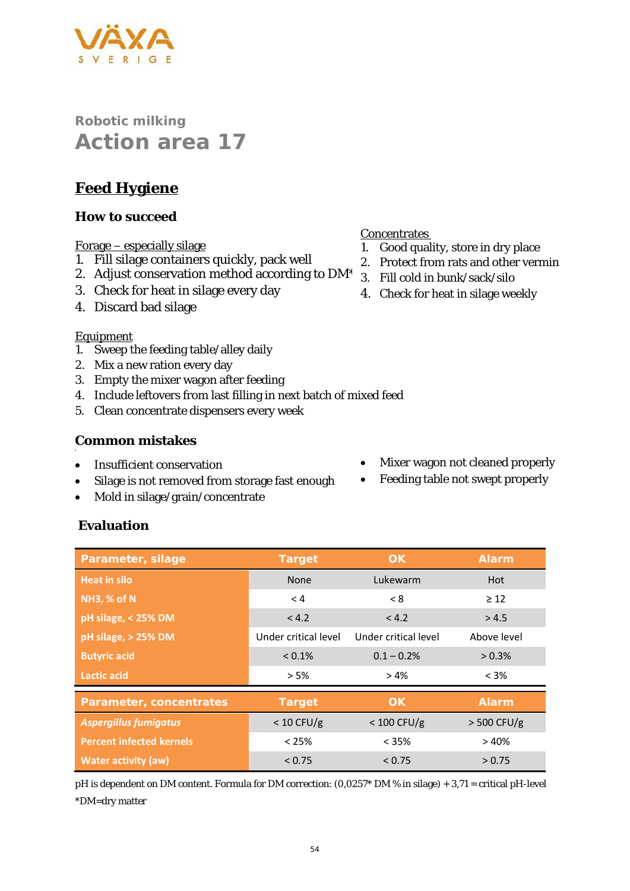## **Feed Hygiene**

#### **How to succeed**

#### Forage – especially silage

- 1. Fill silage containers quickly, pack well
- 2. Adjust conservation method according to DM\*
- 3. Check for heat in silage every day
- 4. Discard bad silage

#### Equipment

'

- 1. Sweep the feeding table/alley daily
- 2. Mix a new ration every day
- 3. Empty the mixer wagon after feeding
- 4. Include leftovers from last filling in next batch of mixed feed
- 5. Clean concentrate dispensers every week

#### **Common mistakes**

- Insufficient conservation
- Silage is not removed from storage fast enough
- Mold in silage/grain/concentrate
- Mixer wagon not cleaned properly
- Feeding table not swept properly

#### **Evaluation**

| Parameter, silage               | Target               | <b>OK</b>            | Alarm         |
|---------------------------------|----------------------|----------------------|---------------|
| <b>Heat in silo</b>             | None                 | Lukewarm             | Hot           |
| <b>NH3, % of N</b>              | < 4                  | < 8                  | $\geq$ 12     |
| pH silage, < 25% DM             | < 4.2                | < 4.2                | > 4.5         |
| pH silage, > 25% DM             | Under critical level | Under critical level | Above level   |
| <b>Butyric acid</b>             | $< 0.1\%$            | $0.1 - 0.2%$         | $> 0.3\%$     |
| <b>Lactic acid</b>              | > 5%                 | $> 4\%$              | $< 3\%$       |
| Parameter, concentrates         | Target               | OK.                  | <b>Alarm</b>  |
| <b>Aspergillus fumigatus</b>    | $< 10$ CFU/g         | $< 100$ CFU/g        | $>$ 500 CFU/g |
| <b>Percent infected kernels</b> | $< 25\%$             | $< 35\%$             | >40%          |
| <b>Water activity (aw)</b>      | < 0.75               | < 0.75               | > 0.75        |

pH is dependent on DM content. Formula for DM correction: (0,0257\* DM % in silage) + 3,71 = critical pH-level \*DM=dry matter

#### **Concentrates**

- 1. Good quality, store in dry place
- 2. Protect from rats and other vermin
- 3. Fill cold in bunk/sack/silo
- 4. Check for heat in silage weekly